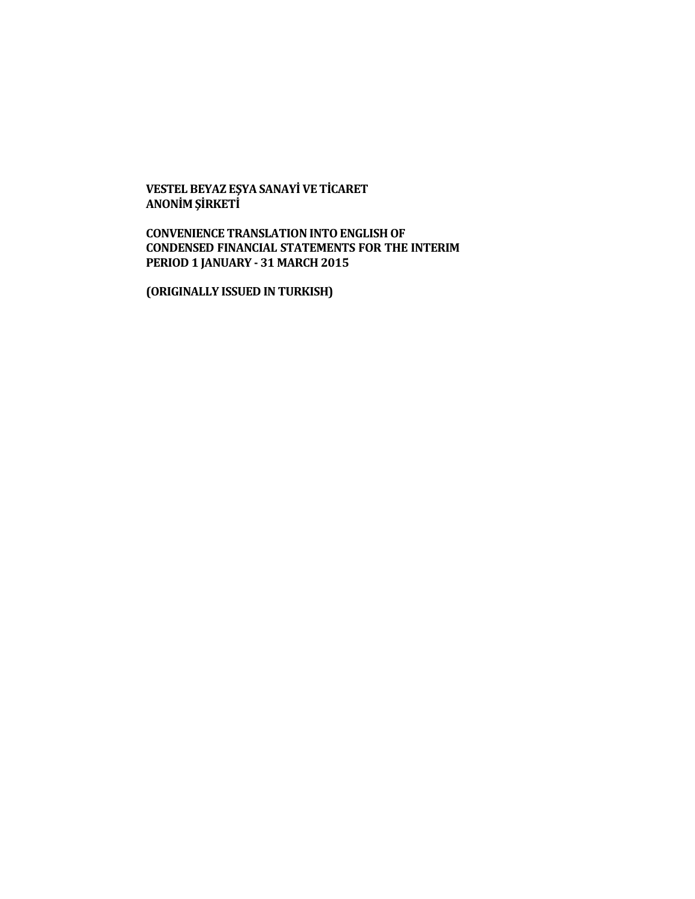**VESTEL BEYAZ EŞYA SANAYİ VE TİCARET ANONİM ŞİRKETİ**

**CONVENIENCE TRANSLATION INTO ENGLISH OF CONDENSED FINANCIAL STATEMENTS FOR THE INTERIM PERIOD 1 JANUARY - 31 MARCH 2015**

**(ORIGINALLY ISSUED IN TURKISH)**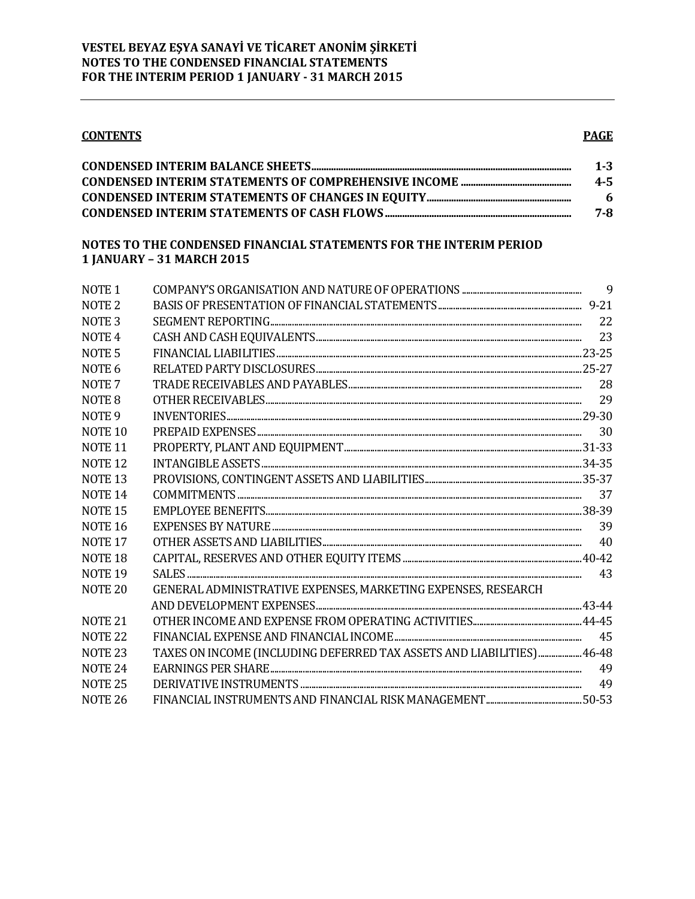# **CONTENTS**

#### **PAGE**

| $1 - 3$ |
|---------|
| $4 - 5$ |
| -6      |
| 7-8     |

# NOTES TO THE CONDENSED FINANCIAL STATEMENTS FOR THE INTERIM PERIOD **1 JANUARY - 31 MARCH 2015**

| NOTE <sub>1</sub>  |                                                                        | $\mathbf{q}$ |
|--------------------|------------------------------------------------------------------------|--------------|
| NOTE <sub>2</sub>  |                                                                        |              |
| NOTE <sub>3</sub>  |                                                                        | 22           |
| NOTE <sub>4</sub>  |                                                                        |              |
| NOTE <sub>5</sub>  |                                                                        |              |
| NOTE <sub>6</sub>  |                                                                        |              |
| NOTE <sub>7</sub>  |                                                                        | 28           |
| NOTE <sub>8</sub>  |                                                                        |              |
| NOTE <sub>9</sub>  |                                                                        |              |
| NOTE <sub>10</sub> |                                                                        | 30           |
| NOTE <sub>11</sub> |                                                                        |              |
| NOTE <sub>12</sub> |                                                                        |              |
| NOTE <sub>13</sub> |                                                                        |              |
| <b>NOTE 14</b>     |                                                                        | 37           |
| NOTE <sub>15</sub> |                                                                        |              |
| <b>NOTE 16</b>     |                                                                        | 39           |
| NOTE <sub>17</sub> |                                                                        |              |
| <b>NOTE 18</b>     |                                                                        |              |
| NOTE <sub>19</sub> |                                                                        |              |
| NOTE <sub>20</sub> | GENERAL ADMINISTRATIVE EXPENSES, MARKETING EXPENSES, RESEARCH          |              |
|                    |                                                                        |              |
| NOTE <sub>21</sub> |                                                                        |              |
| <b>NOTE 22</b>     |                                                                        |              |
| NOTE <sub>23</sub> | TAXES ON INCOME (INCLUDING DEFERRED TAX ASSETS AND LIABILITIES)  46-48 |              |
| NOTE <sub>24</sub> |                                                                        |              |
| NOTE <sub>25</sub> |                                                                        |              |
| <b>NOTE 26</b>     |                                                                        |              |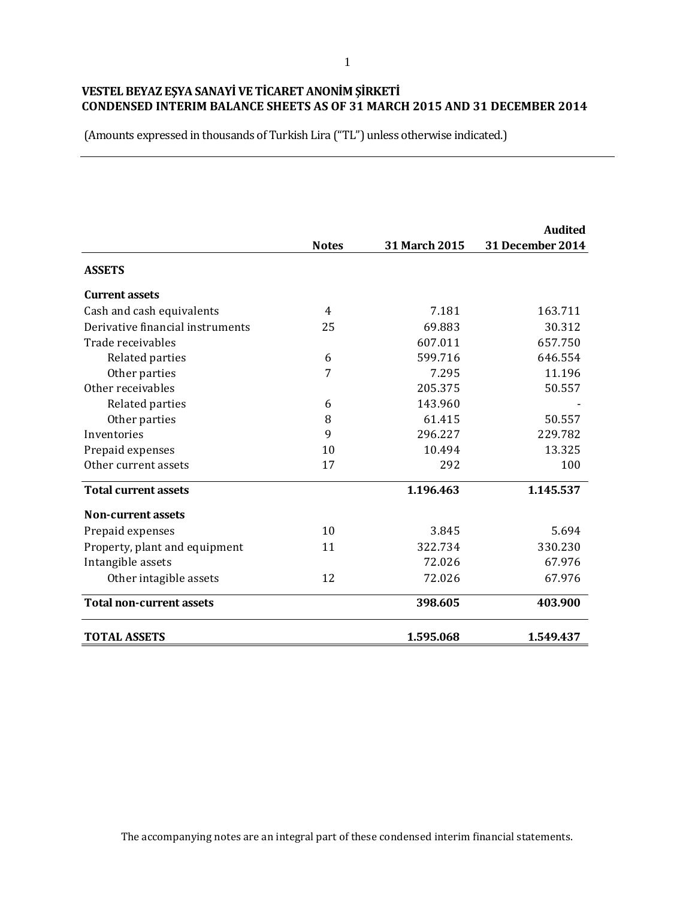# **VESTEL BEYAZ EŞYA SANAYİ VE TİCARET ANONİM ŞİRKETİ CONDENSED INTERIM BALANCE SHEETS AS OF 31 MARCH 2015 AND 31 DECEMBER 2014**

(Amounts expressed in thousands of Turkish Lira ("TL") unless otherwise indicated.)

|                                  |              |               | <b>Audited</b>          |
|----------------------------------|--------------|---------------|-------------------------|
|                                  | <b>Notes</b> | 31 March 2015 | <b>31 December 2014</b> |
| <b>ASSETS</b>                    |              |               |                         |
| <b>Current assets</b>            |              |               |                         |
| Cash and cash equivalents        | 4            | 7.181         | 163.711                 |
| Derivative financial instruments | 25           | 69.883        | 30.312                  |
| Trade receivables                |              | 607.011       | 657.750                 |
| Related parties                  | 6            | 599.716       | 646.554                 |
| Other parties                    | 7            | 7.295         | 11.196                  |
| Other receivables                |              | 205.375       | 50.557                  |
| Related parties                  | 6            | 143.960       |                         |
| Other parties                    | 8            | 61.415        | 50.557                  |
| Inventories                      | 9            | 296.227       | 229.782                 |
| Prepaid expenses                 | 10           | 10.494        | 13.325                  |
| Other current assets             | 17           | 292           | 100                     |
| <b>Total current assets</b>      |              | 1.196.463     | 1.145.537               |
| <b>Non-current assets</b>        |              |               |                         |
| Prepaid expenses                 | 10           | 3.845         | 5.694                   |
| Property, plant and equipment    | 11           | 322.734       | 330.230                 |
| Intangible assets                |              | 72.026        | 67.976                  |
| Other intagible assets           | 12           | 72.026        | 67.976                  |
| <b>Total non-current assets</b>  |              | 398.605       | 403.900                 |
| <b>TOTAL ASSETS</b>              |              | 1.595.068     | 1.549.437               |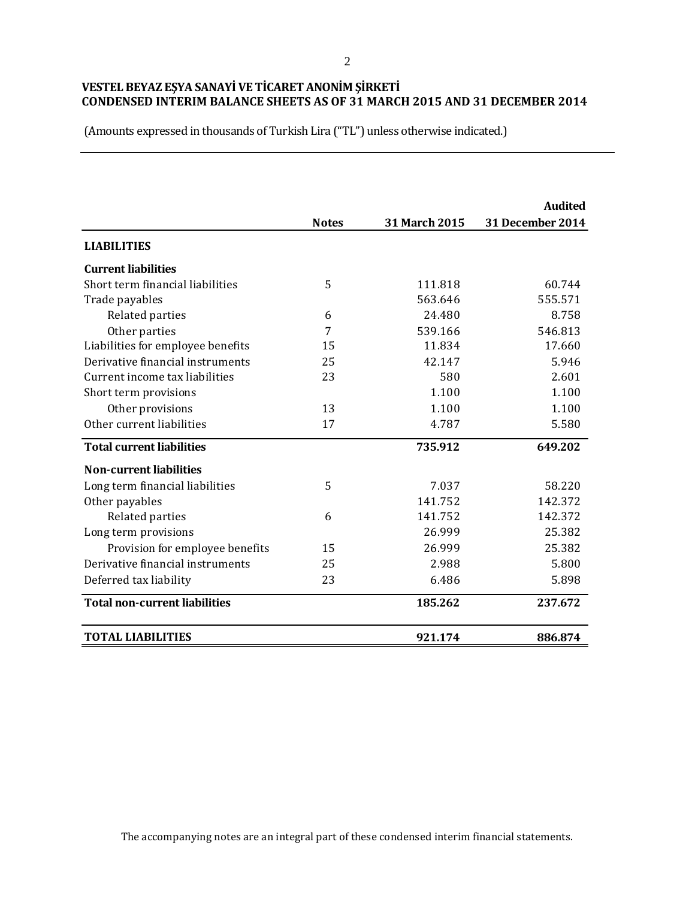# **VESTEL BEYAZ EŞYA SANAYİ VE TİCARET ANONİM ŞİRKETİ CONDENSED INTERIM BALANCE SHEETS AS OF 31 MARCH 2015 AND 31 DECEMBER 2014**

(Amounts expressed in thousands of Turkish Lira ("TL") unless otherwise indicated.)

|                                      |              |               | <b>Audited</b>   |
|--------------------------------------|--------------|---------------|------------------|
|                                      | <b>Notes</b> | 31 March 2015 | 31 December 2014 |
| <b>LIABILITIES</b>                   |              |               |                  |
| <b>Current liabilities</b>           |              |               |                  |
| Short term financial liabilities     | 5            | 111.818       | 60.744           |
| Trade payables                       |              | 563.646       | 555.571          |
| Related parties                      | 6            | 24.480        | 8.758            |
| Other parties                        | 7            | 539.166       | 546.813          |
| Liabilities for employee benefits    | 15           | 11.834        | 17.660           |
| Derivative financial instruments     | 25           | 42.147        | 5.946            |
| Current income tax liabilities       | 23           | 580           | 2.601            |
| Short term provisions                |              | 1.100         | 1.100            |
| Other provisions                     | 13           | 1.100         | 1.100            |
| Other current liabilities            | 17           | 4.787         | 5.580            |
| <b>Total current liabilities</b>     |              | 735.912       | 649.202          |
| <b>Non-current liabilities</b>       |              |               |                  |
| Long term financial liabilities      | 5            | 7.037         | 58.220           |
| Other payables                       |              | 141.752       | 142.372          |
| Related parties                      | 6            | 141.752       | 142.372          |
| Long term provisions                 |              | 26.999        | 25.382           |
| Provision for employee benefits      | 15           | 26.999        | 25.382           |
| Derivative financial instruments     | 25           | 2.988         | 5.800            |
| Deferred tax liability               | 23           | 6.486         | 5.898            |
| <b>Total non-current liabilities</b> |              | 185.262       | 237.672          |
| <b>TOTAL LIABILITIES</b>             |              | 921.174       | 886.874          |

The accompanying notes are an integral part of these condensed interim financial statements.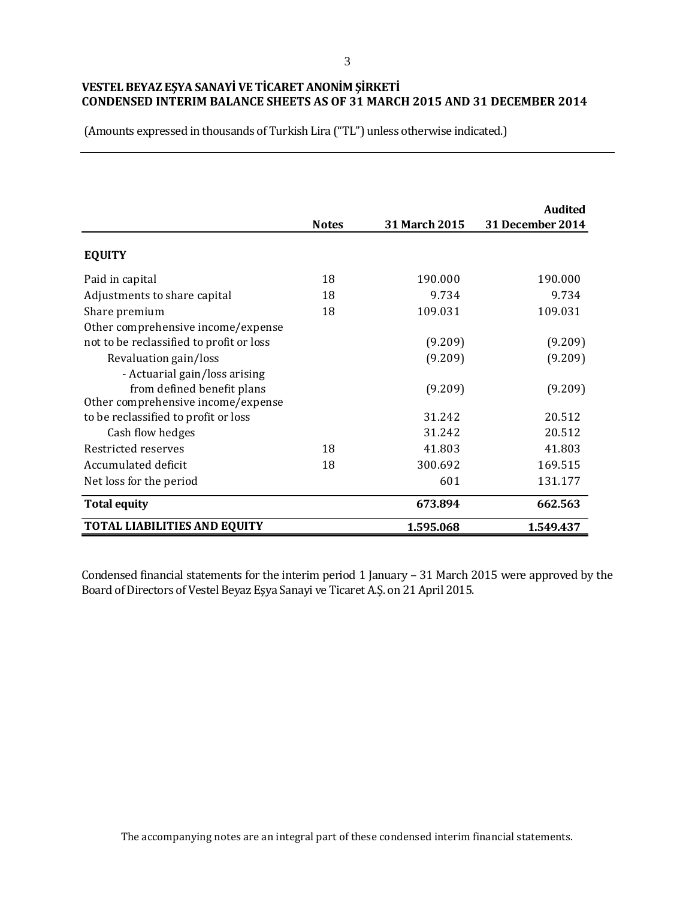# **VESTEL BEYAZ EŞYA SANAYİ VE TİCARET ANONİM ŞİRKETİ CONDENSED INTERIM BALANCE SHEETS AS OF 31 MARCH 2015 AND 31 DECEMBER 2014**

(Amounts expressed in thousands of Turkish Lira ("TL") unless otherwise indicated.)

|                                          |              |                      | <b>Audited</b>          |
|------------------------------------------|--------------|----------------------|-------------------------|
|                                          | <b>Notes</b> | <b>31 March 2015</b> | <b>31 December 2014</b> |
| <b>EQUITY</b>                            |              |                      |                         |
| Paid in capital                          | 18           | 190.000              | 190.000                 |
| Adjustments to share capital             | 18           | 9.734                | 9.734                   |
| Share premium                            | 18           | 109.031              | 109.031                 |
| Other comprehensive income/expense       |              |                      |                         |
| not to be reclassified to profit or loss |              | (9.209)              | (9.209)                 |
| Revaluation gain/loss                    |              | (9.209)              | (9.209)                 |
| - Actuarial gain/loss arising            |              |                      |                         |
| from defined benefit plans               |              | (9.209)              | (9.209)                 |
| Other comprehensive income/expense       |              |                      |                         |
| to be reclassified to profit or loss     |              | 31.242               | 20.512                  |
| Cash flow hedges                         |              | 31.242               | 20.512                  |
| Restricted reserves                      | 18           | 41.803               | 41.803                  |
| Accumulated deficit                      | 18           | 300.692              | 169.515                 |
| Net loss for the period                  |              | 601                  | 131.177                 |
| <b>Total equity</b>                      |              | 673.894              | 662.563                 |
| <b>TOTAL LIABILITIES AND EQUITY</b>      |              | 1.595.068            | 1.549.437               |

Condensed financial statements for the interim period 1 January – 31 March 2015 were approved by the Board of Directors of Vestel Beyaz Eşya Sanayi ve Ticaret A.Ş. on 21 April 2015.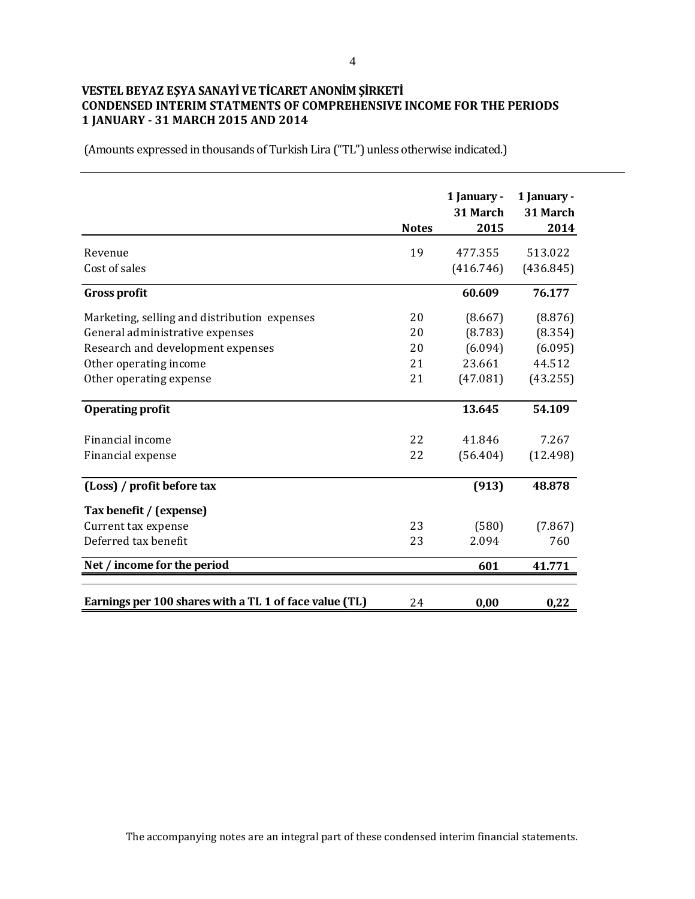# **VESTEL BEYAZ EŞYA SANAYİ VE TİCARET ANONİM ŞİRKETİ CONDENSED INTERIM STATMENTS OF COMPREHENSIVE INCOME FOR THE PERIODS 1 JANUARY - 31 MARCH 2015 AND 2014**

(Amounts expressed in thousands of Turkish Lira ("TL") unless otherwise indicated.)

|                                                        | <b>Notes</b> | 1 January -<br>31 March<br>2015 | 1 January -<br>31 March<br>2014 |
|--------------------------------------------------------|--------------|---------------------------------|---------------------------------|
| Revenue                                                | 19           | 477.355                         | 513.022                         |
| Cost of sales                                          |              | (416.746)                       | (436.845)                       |
| <b>Gross profit</b>                                    |              | 60.609                          | 76.177                          |
| Marketing, selling and distribution expenses           | 20           | (8.667)                         | (8.876)                         |
| General administrative expenses                        | 20           | (8.783)                         | (8.354)                         |
| Research and development expenses                      | 20           | (6.094)                         | (6.095)                         |
| Other operating income                                 | 21           | 23.661                          | 44.512                          |
| Other operating expense                                | 21           | (47.081)                        | (43.255)                        |
| <b>Operating profit</b>                                |              | 13.645                          | 54.109                          |
| Financial income                                       | 22           | 41.846                          | 7.267                           |
| Financial expense                                      | 22           | (56.404)                        | (12.498)                        |
| (Loss) / profit before tax                             |              | (913)                           | 48.878                          |
| Tax benefit / (expense)                                |              |                                 |                                 |
| Current tax expense                                    | 23           | (580)                           | (7.867)                         |
| Deferred tax benefit                                   | 23           | 2.094                           | 760                             |
| Net / income for the period                            |              | 601                             | 41.771                          |
| Earnings per 100 shares with a TL 1 of face value (TL) | 24           | 0,00                            | 0,22                            |

The accompanying notes are an integral part of these condensed interim financial statements.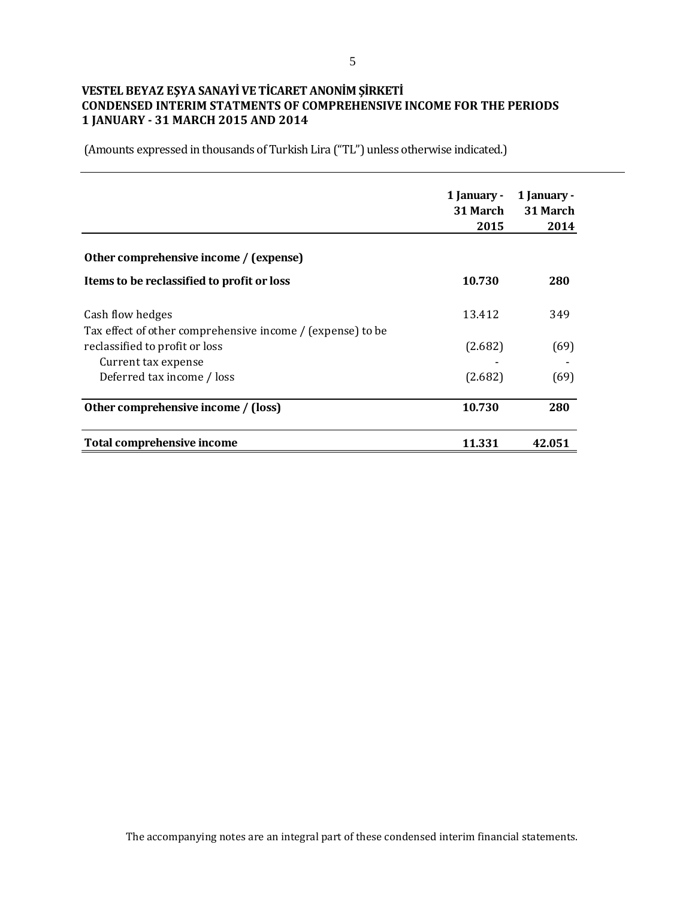# **VESTEL BEYAZ EŞYA SANAYİ VE TİCARET ANONİM ŞİRKETİ CONDENSED INTERIM STATMENTS OF COMPREHENSIVE INCOME FOR THE PERIODS 1 JANUARY - 31 MARCH 2015 AND 2014**

(Amounts expressed in thousands of Turkish Lira ("TL") unless otherwise indicated.)

|                                                            | 1 January -<br>31 March<br>2015 | 1 January -<br>31 March<br>2014 |
|------------------------------------------------------------|---------------------------------|---------------------------------|
| Other comprehensive income / (expense)                     |                                 |                                 |
| Items to be reclassified to profit or loss                 | 10.730                          | 280                             |
| Cash flow hedges                                           | 13.412                          | 349                             |
| Tax effect of other comprehensive income / (expense) to be |                                 |                                 |
| reclassified to profit or loss                             | (2.682)                         | (69)                            |
| Current tax expense                                        |                                 |                                 |
| Deferred tax income / loss                                 | (2.682)                         | (69)                            |
| Other comprehensive income / (loss)                        | 10.730                          | 280                             |
| Total comprehensive income                                 | 11.331                          | 42.051                          |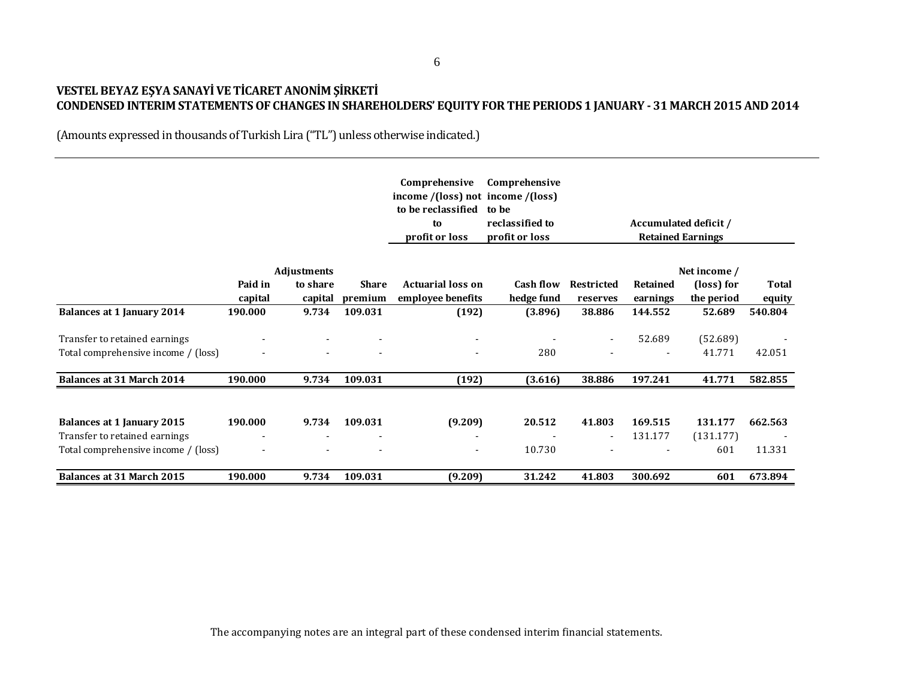# **VESTEL BEYAZ EŞYA SANAYİ VE TİCARET ANONİM ŞİRKETİ CONDENSED INTERIM STATEMENTS OF CHANGES IN SHAREHOLDERS' EQUITY FOR THE PERIODS 1 JANUARY - 31 MARCH 2015 AND 2014**

(Amounts expressed in thousands of Turkish Lira ("TL") unless otherwise indicated.)

|                                                                                                    |                    |                                |                    | Comprehensive<br>income /(loss) not income /(loss)<br>to be reclassified<br>to<br>profit or loss | Comprehensive<br>to be<br>reclassified to<br>profit or loss |                                        | Accumulated deficit /<br><b>Retained Earnings</b> |                             |                   |
|----------------------------------------------------------------------------------------------------|--------------------|--------------------------------|--------------------|--------------------------------------------------------------------------------------------------|-------------------------------------------------------------|----------------------------------------|---------------------------------------------------|-----------------------------|-------------------|
|                                                                                                    | Paid in            | <b>Adjustments</b><br>to share | <b>Share</b>       | <b>Actuarial loss on</b>                                                                         | Cash flow                                                   | <b>Restricted</b>                      | Retained                                          | Net income /<br>(loss) for  | <b>Total</b>      |
| <b>Balances at 1 January 2014</b>                                                                  | capital<br>190.000 | capital<br>9.734               | premium<br>109.031 | employee benefits<br>(192)                                                                       | hedge fund<br>(3.896)                                       | reserves<br>38.886                     | earnings<br>144.552                               | the period<br>52.689        | equity<br>540.804 |
| Transfer to retained earnings<br>Total comprehensive income / (loss)                               |                    |                                |                    |                                                                                                  | 280                                                         |                                        | 52.689                                            | (52.689)<br>41.771          | 42.051            |
| <b>Balances at 31 March 2014</b>                                                                   | 190.000            | 9.734                          | 109.031            | (192)                                                                                            | (3.616)                                                     | 38.886                                 | 197.241                                           | 41.771                      | 582.855           |
| Balances at 1 January 2015<br>Transfer to retained earnings<br>Total comprehensive income / (loss) | 190.000            | 9.734                          | 109.031            | (9.209)<br>$\overline{\phantom{a}}$                                                              | 20.512<br>10.730                                            | 41.803<br>$\qquad \qquad \blacksquare$ | 169.515<br>131.177                                | 131.177<br>(131.177)<br>601 | 662.563<br>11.331 |
| <b>Balances at 31 March 2015</b>                                                                   | 190.000            | 9.734                          | 109.031            | (9.209)                                                                                          | 31.242                                                      | 41.803                                 | 300.692                                           | 601                         | 673.894           |

The accompanying notes are an integral part of these condensed interim financial statements.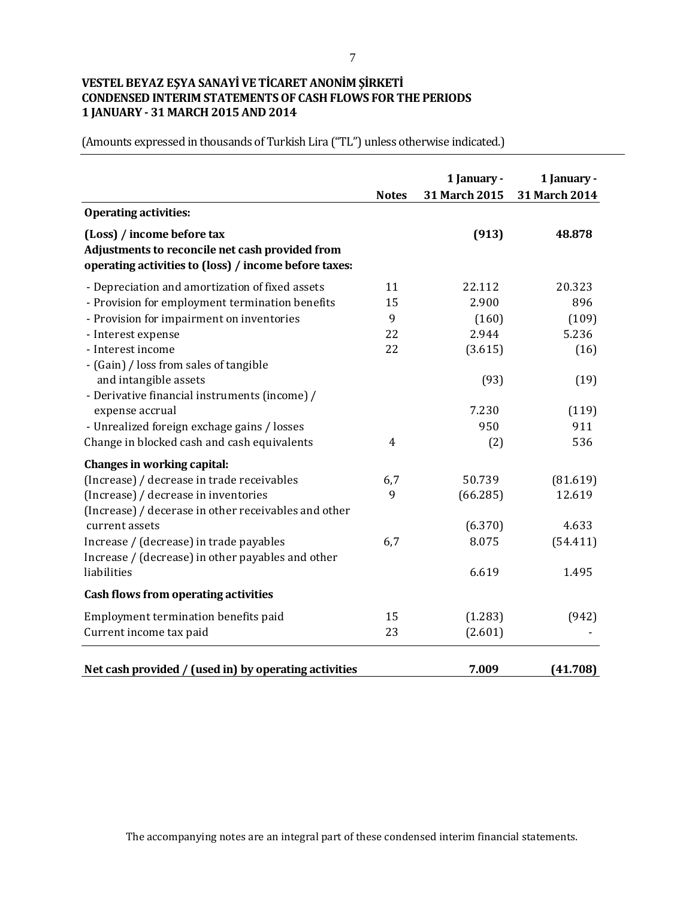# **VESTEL BEYAZ EŞYA SANAYİ VE TİCARET ANONİM ŞİRKETİ CONDENSED INTERIM STATEMENTS OF CASH FLOWS FOR THE PERIODS 1 JANUARY - 31 MARCH 2015 AND 2014**

(Amounts expressed in thousands of Turkish Lira ("TL") unless otherwise indicated.)

|                                                                                                                                        | <b>Notes</b> | 1 January -<br>31 March 2015 | 1 January -<br>31 March 2014 |
|----------------------------------------------------------------------------------------------------------------------------------------|--------------|------------------------------|------------------------------|
| <b>Operating activities:</b>                                                                                                           |              |                              |                              |
| (Loss) / income before tax<br>Adjustments to reconcile net cash provided from<br>operating activities to (loss) / income before taxes: |              | (913)                        | 48.878                       |
| - Depreciation and amortization of fixed assets                                                                                        | 11           | 22.112                       | 20.323                       |
| - Provision for employment termination benefits                                                                                        | 15           | 2.900                        | 896                          |
| - Provision for impairment on inventories                                                                                              | 9            | (160)                        | (109)                        |
| - Interest expense                                                                                                                     | 22           | 2.944                        | 5.236                        |
| - Interest income                                                                                                                      | 22           | (3.615)                      | (16)                         |
| - (Gain) / loss from sales of tangible<br>and intangible assets<br>- Derivative financial instruments (income) /                       |              | (93)                         | (19)                         |
| expense accrual                                                                                                                        |              | 7.230                        | (119)                        |
| - Unrealized foreign exchage gains / losses                                                                                            |              | 950                          | 911                          |
| Change in blocked cash and cash equivalents                                                                                            | 4            | (2)                          | 536                          |
| <b>Changes in working capital:</b>                                                                                                     |              |                              |                              |
| (Increase) / decrease in trade receivables                                                                                             | 6,7          | 50.739                       | (81.619)                     |
| (Increase) / decrease in inventories<br>(Increase) / decerase in other receivables and other                                           | 9            | (66.285)                     | 12.619                       |
| current assets                                                                                                                         |              | (6.370)                      | 4.633                        |
| Increase / (decrease) in trade payables<br>Increase / (decrease) in other payables and other                                           | 6,7          | 8.075                        | (54.411)                     |
| liabilities                                                                                                                            |              | 6.619                        | 1.495                        |
| <b>Cash flows from operating activities</b>                                                                                            |              |                              |                              |
| Employment termination benefits paid                                                                                                   | 15           | (1.283)                      | (942)                        |
| Current income tax paid                                                                                                                | 23           | (2.601)                      |                              |
| Net cash provided / (used in) by operating activities                                                                                  |              | 7.009                        | (41.708)                     |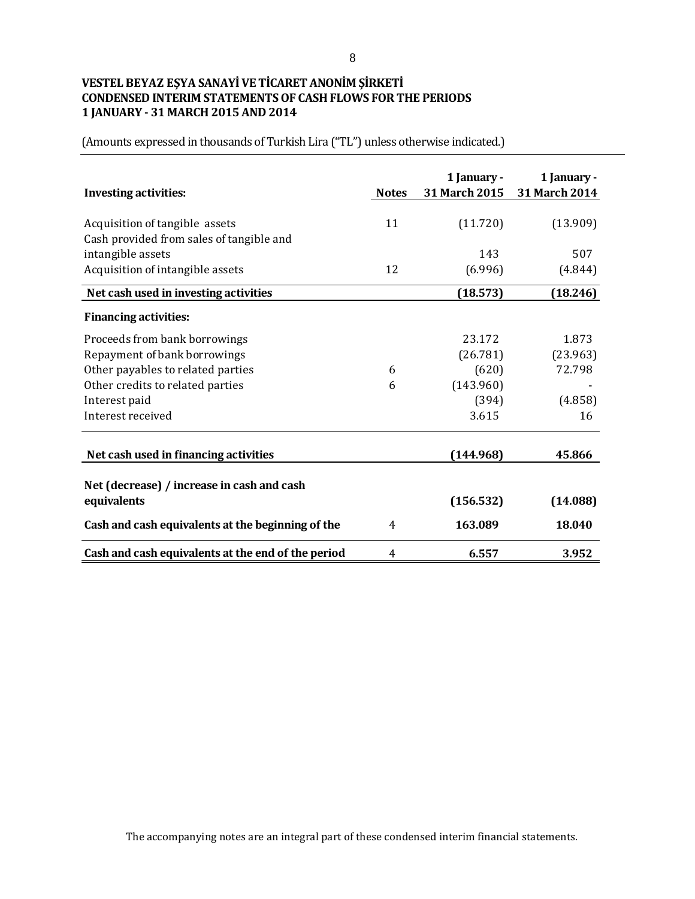# **VESTEL BEYAZ EŞYA SANAYİ VE TİCARET ANONİM ŞİRKETİ CONDENSED INTERIM STATEMENTS OF CASH FLOWS FOR THE PERIODS 1 JANUARY - 31 MARCH 2015 AND 2014**

(Amounts expressed in thousands of Turkish Lira ("TL") unless otherwise indicated.)

| <b>Investing activities:</b>                       | <b>Notes</b> | 1 January -<br>31 March 2015 | 1 January -<br>31 March 2014 |
|----------------------------------------------------|--------------|------------------------------|------------------------------|
| Acquisition of tangible assets                     | 11           | (11.720)                     | (13.909)                     |
| Cash provided from sales of tangible and           |              |                              |                              |
| intangible assets                                  |              | 143                          | 507                          |
| Acquisition of intangible assets                   | 12           | (6.996)                      | (4.844)                      |
| Net cash used in investing activities              |              | (18.573)                     | (18.246)                     |
| <b>Financing activities:</b>                       |              |                              |                              |
| Proceeds from bank borrowings                      |              | 23.172                       | 1.873                        |
| Repayment of bank borrowings                       |              | (26.781)                     | (23.963)                     |
| Other payables to related parties                  | 6            | (620)                        | 72.798                       |
| Other credits to related parties                   | 6            | (143.960)                    |                              |
| Interest paid                                      |              | (394)                        | (4.858)                      |
| Interest received                                  |              | 3.615                        | 16                           |
| Net cash used in financing activities              |              | (144.968)                    | 45.866                       |
| Net (decrease) / increase in cash and cash         |              |                              |                              |
| equivalents                                        |              | (156.532)                    | (14.088)                     |
| Cash and cash equivalents at the beginning of the  | 4            | 163.089                      | 18.040                       |
| Cash and cash equivalents at the end of the period | 4            | 6.557                        | 3.952                        |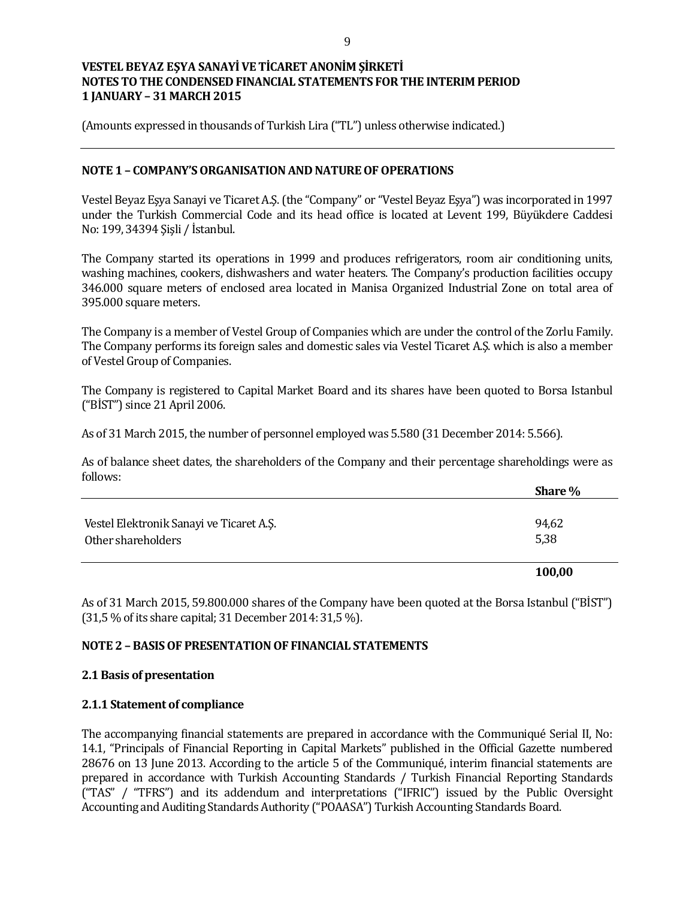(Amounts expressed in thousands of Turkish Lira ("TL") unless otherwise indicated.)

#### **NOTE 1 – COMPANY'S ORGANISATION AND NATURE OF OPERATIONS**

Vestel Beyaz Eşya Sanayi ve Ticaret A.Ş. (the "Company" or "Vestel Beyaz Eşya") was incorporated in 1997 under the Turkish Commercial Code and its head office is located at Levent 199, Büyükdere Caddesi No: 199, 34394 Şişli / İstanbul.

The Company started its operations in 1999 and produces refrigerators, room air conditioning units, washing machines, cookers, dishwashers and water heaters. The Company's production facilities occupy 346.000 square meters of enclosed area located in Manisa Organized Industrial Zone on total area of 395.000 square meters.

The Company is a member of Vestel Group of Companies which are under the control of the Zorlu Family. The Company performs its foreign sales and domestic sales via Vestel Ticaret A.Ş. which is also a member of Vestel Group of Companies.

The Company is registered to Capital Market Board and its shares have been quoted to Borsa Istanbul ("BİST") since 21 April 2006.

As of 31 March 2015, the number of personnel employed was 5.580 (31 December 2014: 5.566).

As of balance sheet dates, the shareholders of the Company and their percentage shareholdings were as follows:

|                                                                | Share %       |
|----------------------------------------------------------------|---------------|
| Vestel Elektronik Sanayi ve Ticaret A.Ş.<br>Other shareholders | 94,62<br>5,38 |
|                                                                | 100,00        |

As of 31 March 2015, 59.800.000 shares of the Company have been quoted at the Borsa Istanbul ("BİST") (31,5 % of its share capital; 31 December 2014: 31,5 %).

# **NOTE 2 – BASIS OF PRESENTATION OF FINANCIAL STATEMENTS**

#### **2.1 Basis of presentation**

#### **2.1.1 Statement of compliance**

The accompanying financial statements are prepared in accordance with the Communiqué Serial II, No: 14.1, "Principals of Financial Reporting in Capital Markets" published in the Official Gazette numbered 28676 on 13 June 2013. According to the article 5 of the Communiqué, interim financial statements are prepared in accordance with Turkish Accounting Standards / Turkish Financial Reporting Standards ("TAS" / "TFRS") and its addendum and interpretations ("IFRIC") issued by the Public Oversight Accounting and Auditing Standards Authority ("POAASA") Turkish Accounting Standards Board.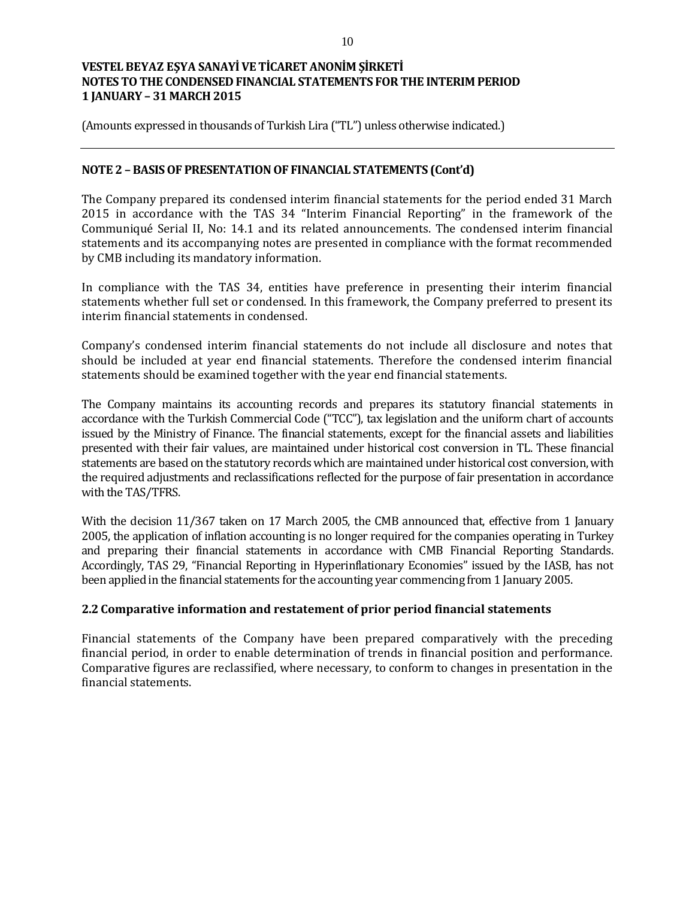(Amounts expressed in thousands of Turkish Lira ("TL") unless otherwise indicated.)

#### **NOTE 2 – BASIS OF PRESENTATION OF FINANCIAL STATEMENTS (Cont'd)**

The Company prepared its condensed interim financial statements for the period ended 31 March 2015 in accordance with the TAS 34 "Interim Financial Reporting" in the framework of the Communiqué Serial II, No: 14.1 and its related announcements. The condensed interim financial statements and its accompanying notes are presented in compliance with the format recommended by CMB including its mandatory information.

In compliance with the TAS 34, entities have preference in presenting their interim financial statements whether full set or condensed. In this framework, the Company preferred to present its interim financial statements in condensed.

Company's condensed interim financial statements do not include all disclosure and notes that should be included at year end financial statements. Therefore the condensed interim financial statements should be examined together with the year end financial statements.

The Company maintains its accounting records and prepares its statutory financial statements in accordance with the Turkish Commercial Code ("TCC"), tax legislation and the uniform chart of accounts issued by the Ministry of Finance. The financial statements, except for the financial assets and liabilities presented with their fair values, are maintained under historical cost conversion in TL. These financial statements are based on the statutory records which are maintained under historical cost conversion, with the required adjustments and reclassifications reflected for the purpose of fair presentation in accordance with the TAS/TFRS.

With the decision 11/367 taken on 17 March 2005, the CMB announced that, effective from 1 January 2005, the application of inflation accounting is no longer required for the companies operating in Turkey and preparing their financial statements in accordance with CMB Financial Reporting Standards. Accordingly, TAS 29, "Financial Reporting in Hyperinflationary Economies" issued by the IASB, has not been applied in the financial statements for the accounting year commencing from 1 January 2005.

# **2.2 Comparative information and restatement of prior period financial statements**

Financial statements of the Company have been prepared comparatively with the preceding financial period, in order to enable determination of trends in financial position and performance. Comparative figures are reclassified, where necessary, to conform to changes in presentation in the financial statements.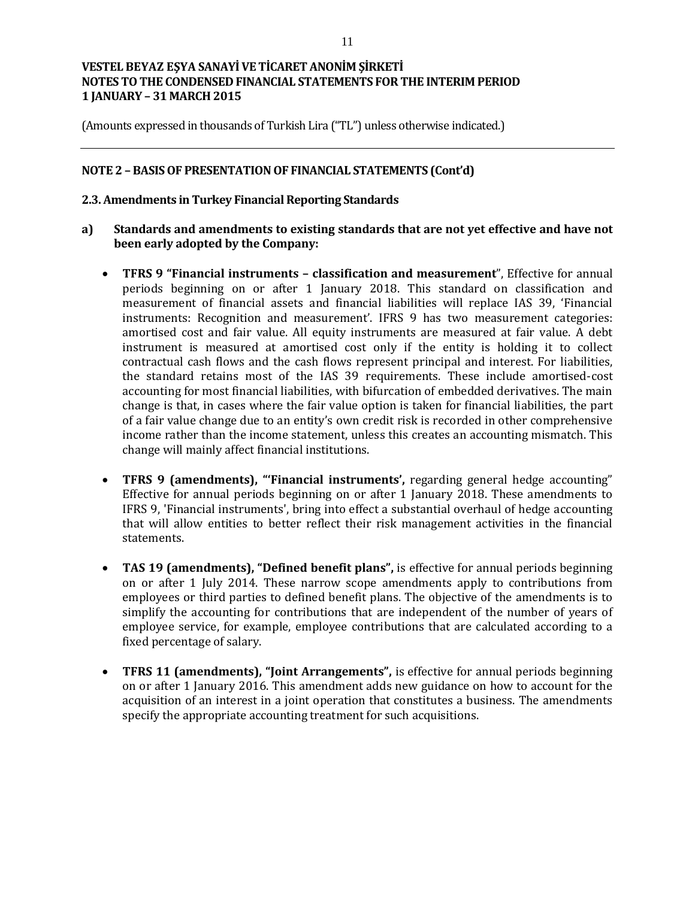(Amounts expressed in thousands of Turkish Lira ("TL") unless otherwise indicated.)

#### **NOTE 2 – BASIS OF PRESENTATION OF FINANCIAL STATEMENTS (Cont'd)**

### **2.3. Amendments in Turkey Financial Reporting Standards**

- **a) Standards and amendments to existing standards that are not yet effective and have not been early adopted by the Company:**
	- **TFRS 9 "Financial instruments – classification and measurement**", Effective for annual periods beginning on or after 1 January 2018. This standard on classification and measurement of financial assets and financial liabilities will replace IAS 39, 'Financial instruments: Recognition and measurement'. IFRS 9 has two measurement categories: amortised cost and fair value. All equity instruments are measured at fair value. A debt instrument is measured at amortised cost only if the entity is holding it to collect contractual cash flows and the cash flows represent principal and interest. For liabilities, the standard retains most of the IAS 39 requirements. These include amortised-cost accounting for most financial liabilities, with bifurcation of embedded derivatives. The main change is that, in cases where the fair value option is taken for financial liabilities, the part of a fair value change due to an entity's own credit risk is recorded in other comprehensive income rather than the income statement, unless this creates an accounting mismatch. This change will mainly affect financial institutions.
	- **TFRS 9 (amendments), "'Financial instruments',** regarding general hedge accounting" Effective for annual periods beginning on or after 1 January 2018. These amendments to IFRS 9, 'Financial instruments', bring into effect a substantial overhaul of hedge accounting that will allow entities to better reflect their risk management activities in the financial statements.
	- **TAS 19 (amendments), "Defined benefit plans",** is effective for annual periods beginning on or after 1 July 2014. These narrow scope amendments apply to contributions from employees or third parties to defined benefit plans. The objective of the amendments is to simplify the accounting for contributions that are independent of the number of years of employee service, for example, employee contributions that are calculated according to a fixed percentage of salary.
	- **TFRS 11 (amendments), "Joint Arrangements",** is effective for annual periods beginning on or after 1 January 2016. This amendment adds new guidance on how to account for the acquisition of an interest in a joint operation that constitutes a business. The amendments specify the appropriate accounting treatment for such acquisitions.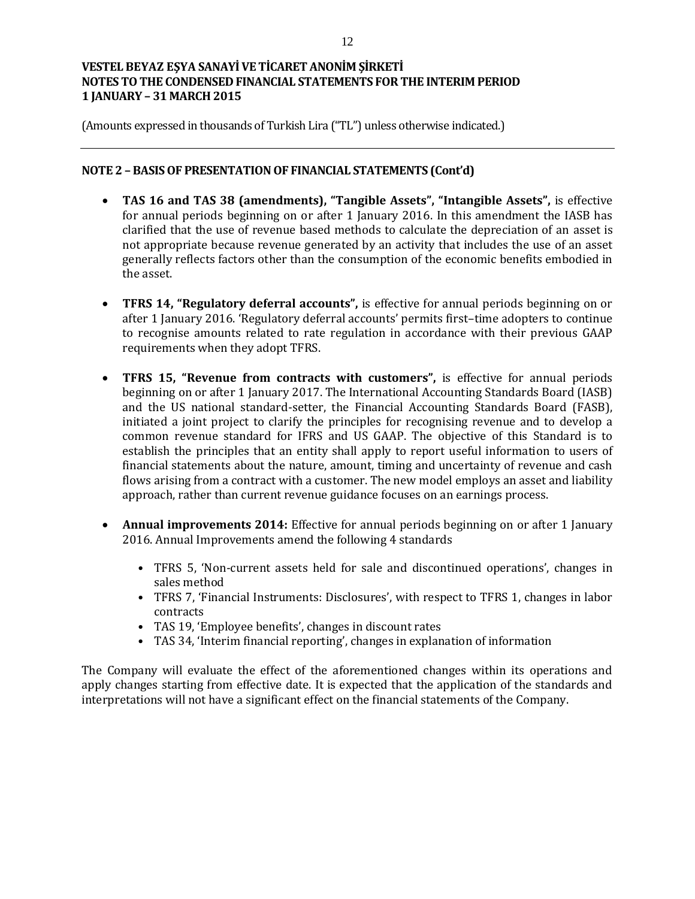(Amounts expressed in thousands of Turkish Lira ("TL") unless otherwise indicated.)

### **NOTE 2 – BASIS OF PRESENTATION OF FINANCIAL STATEMENTS (Cont'd)**

- **TAS 16 and TAS 38 (amendments), "Tangible Assets", "Intangible Assets",** is effective for annual periods beginning on or after 1 January 2016. In this amendment the IASB has clarified that the use of revenue based methods to calculate the depreciation of an asset is not appropriate because revenue generated by an activity that includes the use of an asset generally reflects factors other than the consumption of the economic benefits embodied in the asset.
- **TFRS 14, "Regulatory deferral accounts",** is effective for annual periods beginning on or after 1 January 2016. 'Regulatory deferral accounts' permits first–time adopters to continue to recognise amounts related to rate regulation in accordance with their previous GAAP requirements when they adopt TFRS.
- **TFRS 15, "Revenue from contracts with customers",** is effective for annual periods beginning on or after 1 January 2017. The International Accounting Standards Board (IASB) and the US national standard-setter, the Financial Accounting Standards Board (FASB), initiated a joint project to clarify the principles for recognising revenue and to develop a common revenue standard for IFRS and US GAAP. The objective of this Standard is to establish the principles that an entity shall apply to report useful information to users of financial statements about the nature, amount, timing and uncertainty of revenue and cash flows arising from a contract with a customer. The new model employs an asset and liability approach, rather than current revenue guidance focuses on an earnings process.
- **Annual improvements 2014:** Effective for annual periods beginning on or after 1 January 2016. Annual Improvements amend the following 4 standards
	- TFRS 5, 'Non-current assets held for sale and discontinued operations', changes in sales method
	- TFRS 7, 'Financial Instruments: Disclosures', with respect to TFRS 1, changes in labor contracts
	- TAS 19, 'Employee benefits', changes in discount rates
	- TAS 34, 'Interim financial reporting', changes in explanation of information

The Company will evaluate the effect of the aforementioned changes within its operations and apply changes starting from effective date. It is expected that the application of the standards and interpretations will not have a significant effect on the financial statements of the Company.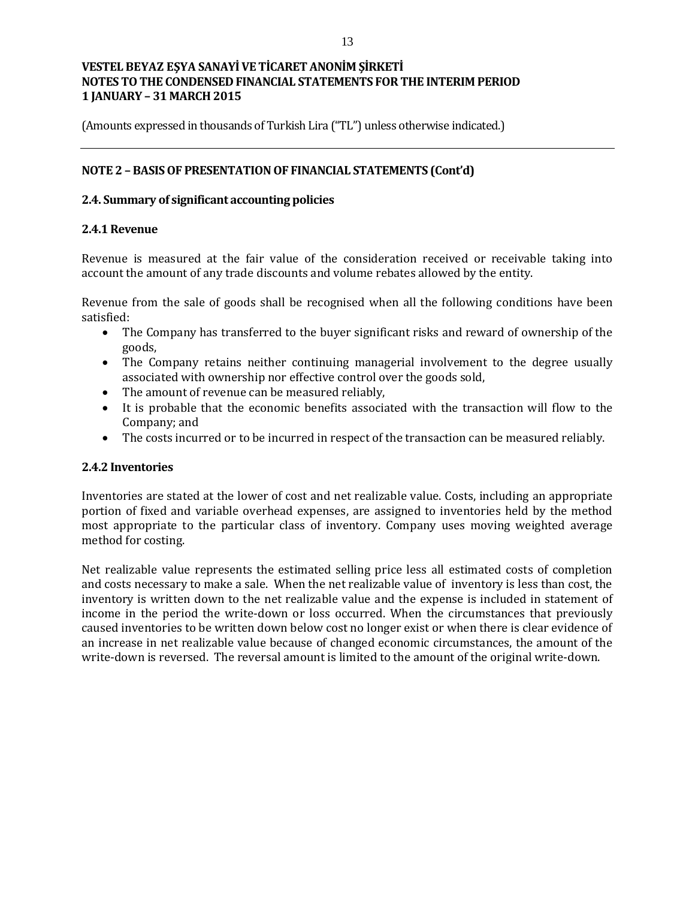(Amounts expressed in thousands of Turkish Lira ("TL") unless otherwise indicated.)

### **NOTE 2 – BASIS OF PRESENTATION OF FINANCIAL STATEMENTS (Cont'd)**

#### **2.4. Summary of significant accounting policies**

### **2.4.1 Revenue**

Revenue is measured at the fair value of the consideration received or receivable taking into account the amount of any trade discounts and volume rebates allowed by the entity.

Revenue from the sale of goods shall be recognised when all the following conditions have been satisfied:

- The Company has transferred to the buyer significant risks and reward of ownership of the goods,
- The Company retains neither continuing managerial involvement to the degree usually associated with ownership nor effective control over the goods sold,
- The amount of revenue can be measured reliably,
- It is probable that the economic benefits associated with the transaction will flow to the Company; and
- The costs incurred or to be incurred in respect of the transaction can be measured reliably.

#### **2.4.2 Inventories**

Inventories are stated at the lower of cost and net realizable value. Costs, including an appropriate portion of fixed and variable overhead expenses, are assigned to inventories held by the method most appropriate to the particular class of inventory. Company uses moving weighted average method for costing.

Net realizable value represents the estimated selling price less all estimated costs of completion and costs necessary to make a sale. When the net realizable value of inventory is less than cost, the inventory is written down to the net realizable value and the expense is included in statement of income in the period the write-down or loss occurred. When the circumstances that previously caused inventories to be written down below cost no longer exist or when there is clear evidence of an increase in net realizable value because of changed economic circumstances, the amount of the write-down is reversed. The reversal amount is limited to the amount of the original write-down.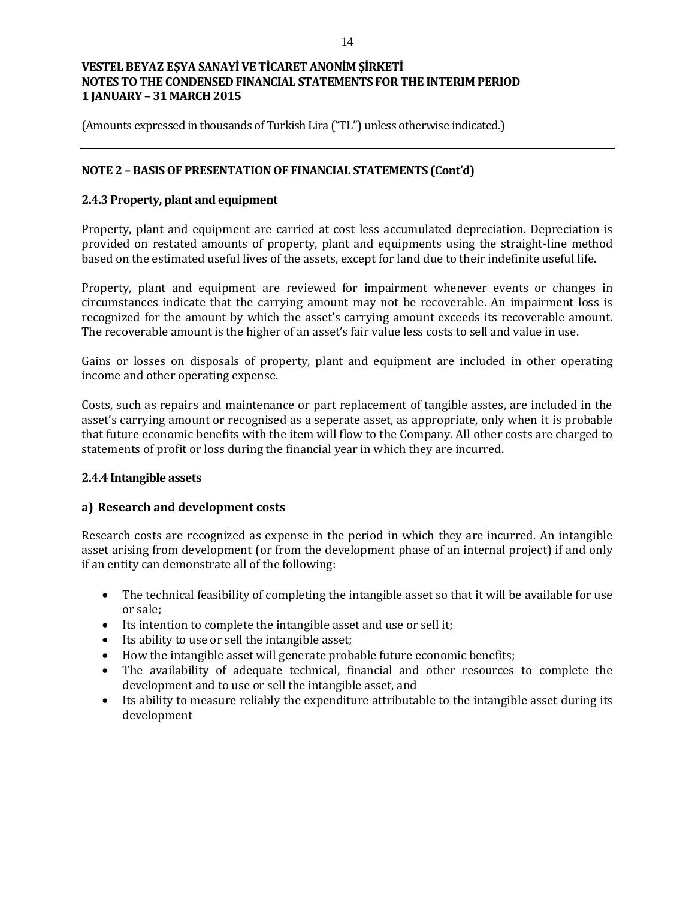(Amounts expressed in thousands of Turkish Lira ("TL") unless otherwise indicated.)

### **NOTE 2 – BASIS OF PRESENTATION OF FINANCIAL STATEMENTS (Cont'd)**

### **2.4.3 Property, plant and equipment**

Property, plant and equipment are carried at cost less accumulated depreciation. Depreciation is provided on restated amounts of property, plant and equipments using the straight-line method based on the estimated useful lives of the assets, except for land due to their indefinite useful life.

Property, plant and equipment are reviewed for impairment whenever events or changes in circumstances indicate that the carrying amount may not be recoverable. An impairment loss is recognized for the amount by which the asset's carrying amount exceeds its recoverable amount. The recoverable amount is the higher of an asset's fair value less costs to sell and value in use.

Gains or losses on disposals of property, plant and equipment are included in other operating income and other operating expense.

Costs, such as repairs and maintenance or part replacement of tangible asstes, are included in the asset's carrying amount or recognised as a seperate asset, as appropriate, only when it is probable that future economic benefits with the item will flow to the Company. All other costs are charged to statements of profit or loss during the financial year in which they are incurred.

#### **2.4.4 Intangible assets**

#### **a) Research and development costs**

Research costs are recognized as expense in the period in which they are incurred. An intangible asset arising from development (or from the development phase of an internal project) if and only if an entity can demonstrate all of the following:

- The technical feasibility of completing the intangible asset so that it will be available for use or sale;
- Its intention to complete the intangible asset and use or sell it;
- Its ability to use or sell the intangible asset;
- How the intangible asset will generate probable future economic benefits;
- The availability of adequate technical, financial and other resources to complete the development and to use or sell the intangible asset, and
- Its ability to measure reliably the expenditure attributable to the intangible asset during its development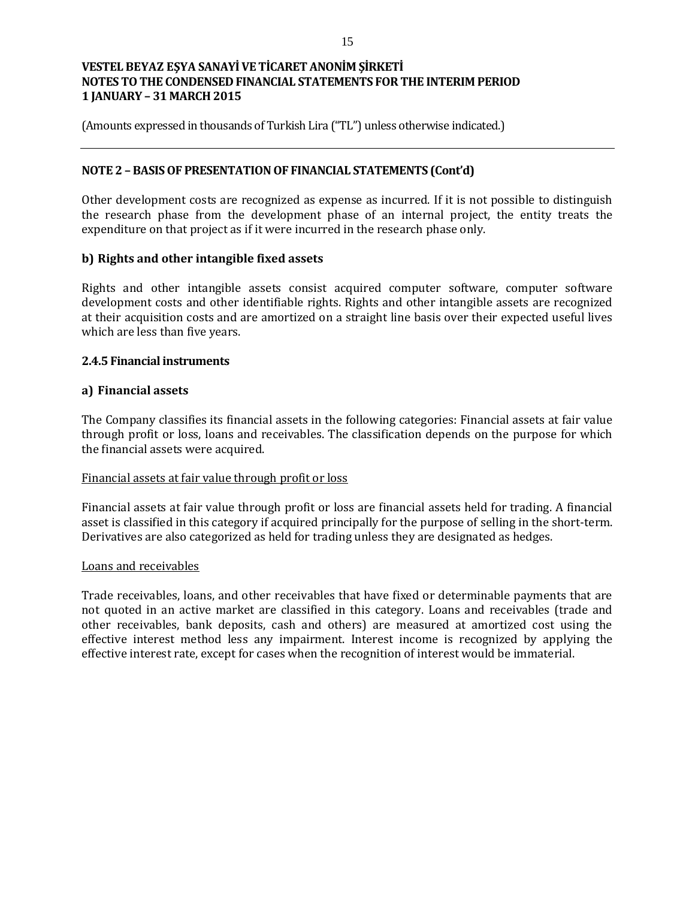(Amounts expressed in thousands of Turkish Lira ("TL") unless otherwise indicated.)

#### **NOTE 2 – BASIS OF PRESENTATION OF FINANCIAL STATEMENTS (Cont'd)**

Other development costs are recognized as expense as incurred. If it is not possible to distinguish the research phase from the development phase of an internal project, the entity treats the expenditure on that project as if it were incurred in the research phase only.

### **b) Rights and other intangible fixed assets**

Rights and other intangible assets consist acquired computer software, computer software development costs and other identifiable rights. Rights and other intangible assets are recognized at their acquisition costs and are amortized on a straight line basis over their expected useful lives which are less than five years.

#### **2.4.5 Financial instruments**

#### **a) Financial assets**

The Company classifies its financial assets in the following categories: Financial assets at fair value through profit or loss, loans and receivables. The classification depends on the purpose for which the financial assets were acquired.

#### Financial assets at fair value through profit or loss

Financial assets at fair value through profit or loss are financial assets held for trading. A financial asset is classified in this category if acquired principally for the purpose of selling in the short-term. Derivatives are also categorized as held for trading unless they are designated as hedges.

#### Loans and receivables

Trade receivables, loans, and other receivables that have fixed or determinable payments that are not quoted in an active market are classified in this category. Loans and receivables (trade and other receivables, bank deposits, cash and others) are measured at amortized cost using the effective interest method less any impairment. Interest income is recognized by applying the effective interest rate, except for cases when the recognition of interest would be immaterial.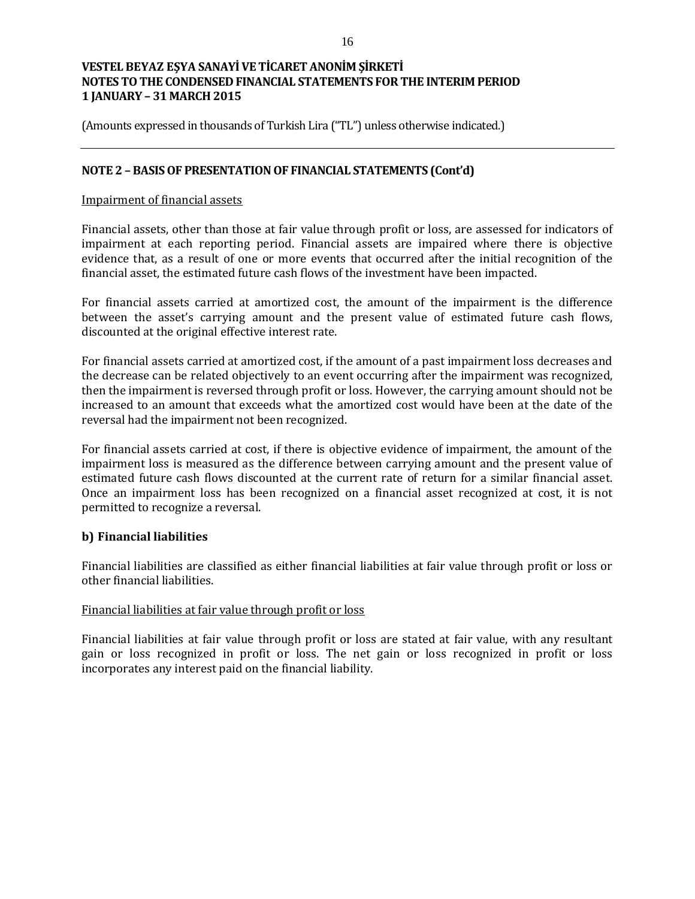(Amounts expressed in thousands of Turkish Lira ("TL") unless otherwise indicated.)

#### **NOTE 2 – BASIS OF PRESENTATION OF FINANCIAL STATEMENTS (Cont'd)**

#### Impairment of financial assets

Financial assets, other than those at fair value through profit or loss, are assessed for indicators of impairment at each reporting period. Financial assets are impaired where there is objective evidence that, as a result of one or more events that occurred after the initial recognition of the financial asset, the estimated future cash flows of the investment have been impacted.

For financial assets carried at amortized cost, the amount of the impairment is the difference between the asset's carrying amount and the present value of estimated future cash flows, discounted at the original effective interest rate.

For financial assets carried at amortized cost, if the amount of a past impairment loss decreases and the decrease can be related objectively to an event occurring after the impairment was recognized, then the impairment is reversed through profit or loss. However, the carrying amount should not be increased to an amount that exceeds what the amortized cost would have been at the date of the reversal had the impairment not been recognized.

For financial assets carried at cost, if there is objective evidence of impairment, the amount of the impairment loss is measured as the difference between carrying amount and the present value of estimated future cash flows discounted at the current rate of return for a similar financial asset. Once an impairment loss has been recognized on a financial asset recognized at cost, it is not permitted to recognize a reversal.

#### **b) Financial liabilities**

Financial liabilities are classified as either financial liabilities at fair value through profit or loss or other financial liabilities.

#### Financial liabilities at fair value through profit or loss

Financial liabilities at fair value through profit or loss are stated at fair value, with any resultant gain or loss recognized in profit or loss. The net gain or loss recognized in profit or loss incorporates any interest paid on the financial liability.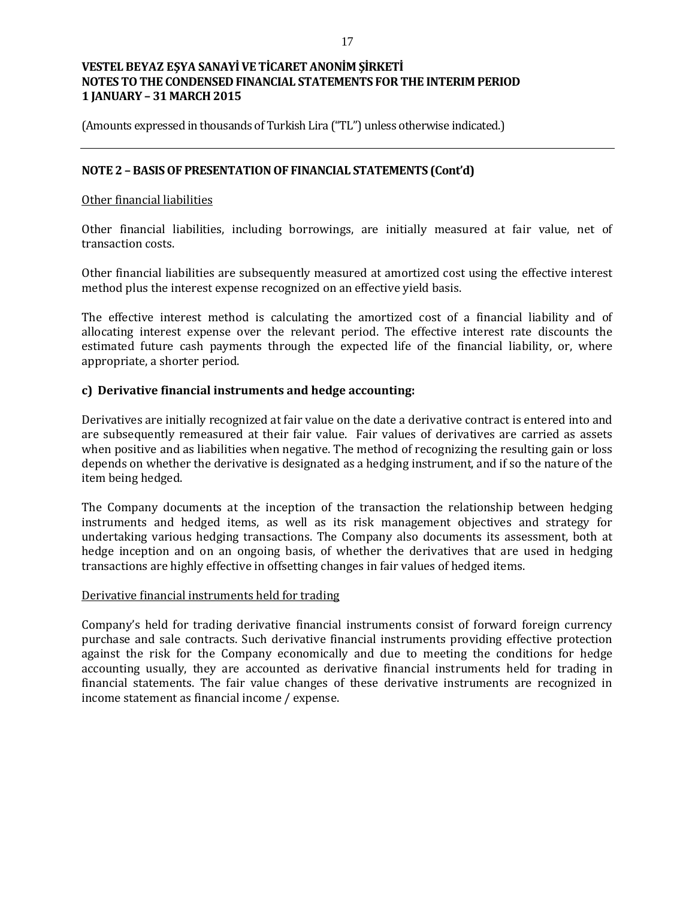(Amounts expressed in thousands of Turkish Lira ("TL") unless otherwise indicated.)

#### **NOTE 2 – BASIS OF PRESENTATION OF FINANCIAL STATEMENTS (Cont'd)**

#### Other financial liabilities

Other financial liabilities, including borrowings, are initially measured at fair value, net of transaction costs.

Other financial liabilities are subsequently measured at amortized cost using the effective interest method plus the interest expense recognized on an effective yield basis.

The effective interest method is calculating the amortized cost of a financial liability and of allocating interest expense over the relevant period. The effective interest rate discounts the estimated future cash payments through the expected life of the financial liability, or, where appropriate, a shorter period.

### **c) Derivative financial instruments and hedge accounting:**

Derivatives are initially recognized at fair value on the date a derivative contract is entered into and are subsequently remeasured at their fair value. Fair values of derivatives are carried as assets when positive and as liabilities when negative. The method of recognizing the resulting gain or loss depends on whether the derivative is designated as a hedging instrument, and if so the nature of the item being hedged.

The Company documents at the inception of the transaction the relationship between hedging instruments and hedged items, as well as its risk management objectives and strategy for undertaking various hedging transactions. The Company also documents its assessment, both at hedge inception and on an ongoing basis, of whether the derivatives that are used in hedging transactions are highly effective in offsetting changes in fair values of hedged items.

#### Derivative financial instruments held for trading

Company's held for trading derivative financial instruments consist of forward foreign currency purchase and sale contracts. Such derivative financial instruments providing effective protection against the risk for the Company economically and due to meeting the conditions for hedge accounting usually, they are accounted as derivative financial instruments held for trading in financial statements. The fair value changes of these derivative instruments are recognized in income statement as financial income / expense.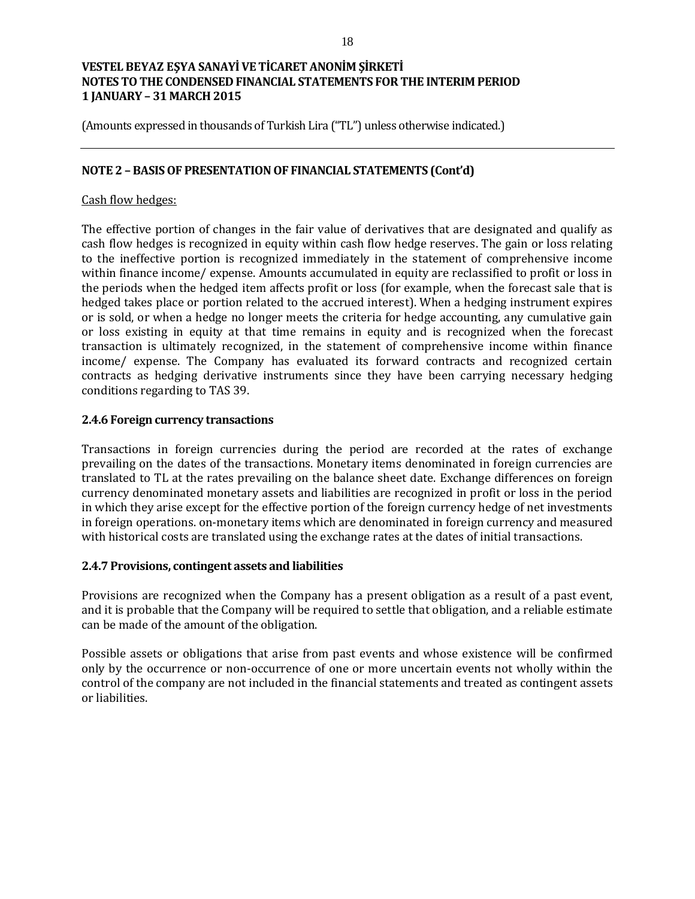(Amounts expressed in thousands of Turkish Lira ("TL") unless otherwise indicated.)

#### **NOTE 2 – BASIS OF PRESENTATION OF FINANCIAL STATEMENTS (Cont'd)**

#### Cash flow hedges:

The effective portion of changes in the fair value of derivatives that are designated and qualify as cash flow hedges is recognized in equity within cash flow hedge reserves. The gain or loss relating to the ineffective portion is recognized immediately in the statement of comprehensive income within finance income/ expense. Amounts accumulated in equity are reclassified to profit or loss in the periods when the hedged item affects profit or loss (for example, when the forecast sale that is hedged takes place or portion related to the accrued interest). When a hedging instrument expires or is sold, or when a hedge no longer meets the criteria for hedge accounting, any cumulative gain or loss existing in equity at that time remains in equity and is recognized when the forecast transaction is ultimately recognized, in the statement of comprehensive income within finance income/ expense. The Company has evaluated its forward contracts and recognized certain contracts as hedging derivative instruments since they have been carrying necessary hedging conditions regarding to TAS 39.

#### **2.4.6 Foreign currency transactions**

Transactions in foreign currencies during the period are recorded at the rates of exchange prevailing on the dates of the transactions. Monetary items denominated in foreign currencies are translated to TL at the rates prevailing on the balance sheet date. Exchange differences on foreign currency denominated monetary assets and liabilities are recognized in profit or loss in the period in which they arise except for the effective portion of the foreign currency hedge of net investments in foreign operations. on-monetary items which are denominated in foreign currency and measured with historical costs are translated using the exchange rates at the dates of initial transactions.

#### **2.4.7 Provisions, contingent assets and liabilities**

Provisions are recognized when the Company has a present obligation as a result of a past event, and it is probable that the Company will be required to settle that obligation, and a reliable estimate can be made of the amount of the obligation.

Possible assets or obligations that arise from past events and whose existence will be confirmed only by the occurrence or non-occurrence of one or more uncertain events not wholly within the control of the company are not included in the financial statements and treated as contingent assets or liabilities.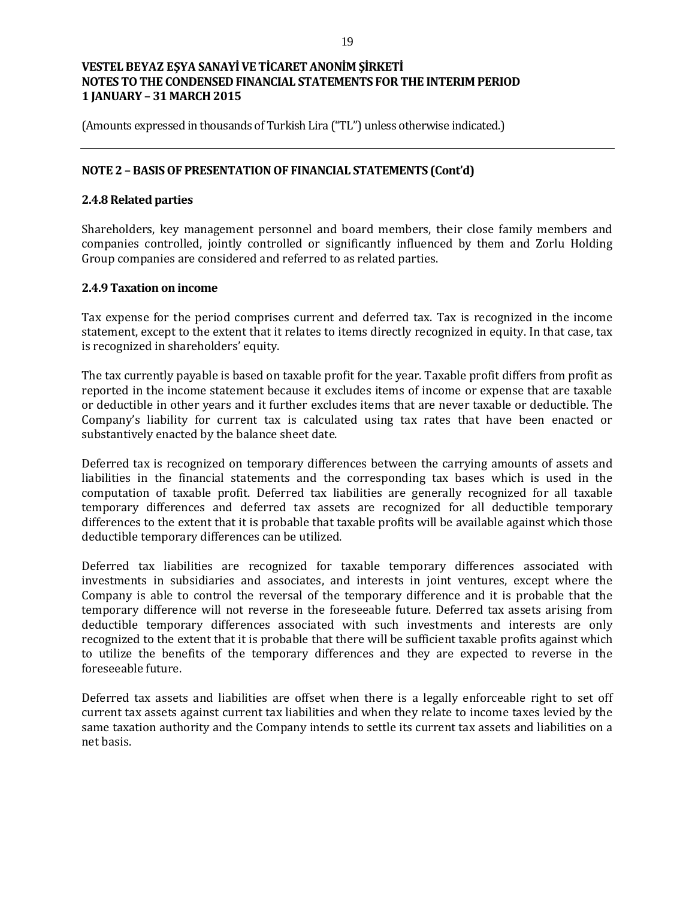(Amounts expressed in thousands of Turkish Lira ("TL") unless otherwise indicated.)

#### **NOTE 2 – BASIS OF PRESENTATION OF FINANCIAL STATEMENTS (Cont'd)**

#### **2.4.8Related parties**

Shareholders, key management personnel and board members, their close family members and companies controlled, jointly controlled or significantly influenced by them and Zorlu Holding Group companies are considered and referred to as related parties.

#### **2.4.9Taxation on income**

Tax expense for the period comprises current and deferred tax. Tax is recognized in the income statement, except to the extent that it relates to items directly recognized in equity. In that case, tax is recognized in shareholders' equity.

The tax currently payable is based on taxable profit for the year. Taxable profit differs from profit as reported in the income statement because it excludes items of income or expense that are taxable or deductible in other years and it further excludes items that are never taxable or deductible. The Company's liability for current tax is calculated using tax rates that have been enacted or substantively enacted by the balance sheet date.

Deferred tax is recognized on temporary differences between the carrying amounts of assets and liabilities in the financial statements and the corresponding tax bases which is used in the computation of taxable profit. Deferred tax liabilities are generally recognized for all taxable temporary differences and deferred tax assets are recognized for all deductible temporary differences to the extent that it is probable that taxable profits will be available against which those deductible temporary differences can be utilized.

Deferred tax liabilities are recognized for taxable temporary differences associated with investments in subsidiaries and associates, and interests in joint ventures, except where the Company is able to control the reversal of the temporary difference and it is probable that the temporary difference will not reverse in the foreseeable future. Deferred tax assets arising from deductible temporary differences associated with such investments and interests are only recognized to the extent that it is probable that there will be sufficient taxable profits against which to utilize the benefits of the temporary differences and they are expected to reverse in the foreseeable future.

Deferred tax assets and liabilities are offset when there is a legally enforceable right to set off current tax assets against current tax liabilities and when they relate to income taxes levied by the same taxation authority and the Company intends to settle its current tax assets and liabilities on a net basis.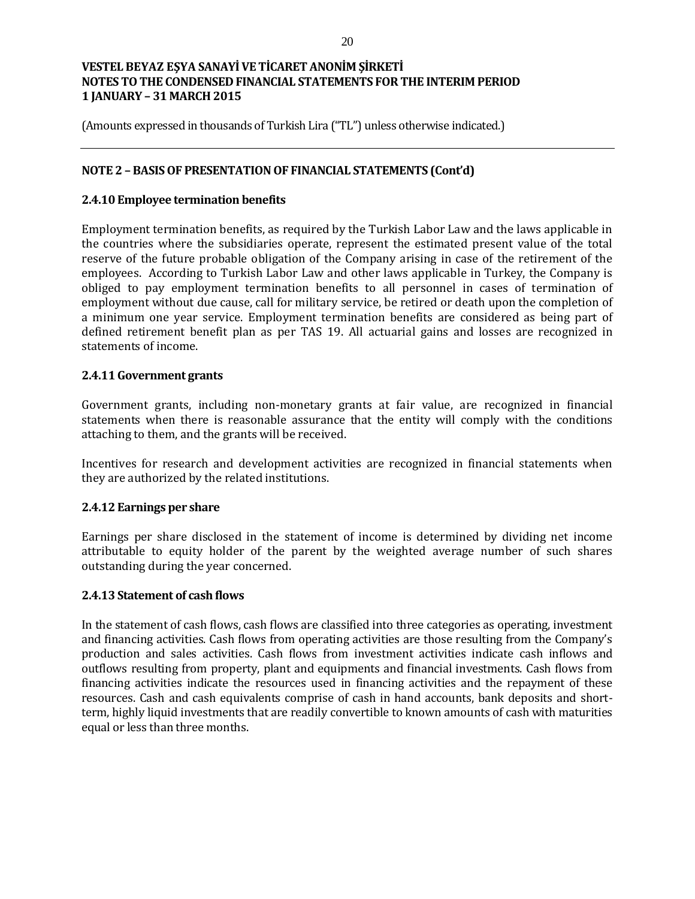(Amounts expressed in thousands of Turkish Lira ("TL") unless otherwise indicated.)

### **NOTE 2 – BASIS OF PRESENTATION OF FINANCIAL STATEMENTS (Cont'd)**

#### **2.4.10 Employee termination benefits**

Employment termination benefits, as required by the Turkish Labor Law and the laws applicable in the countries where the subsidiaries operate, represent the estimated present value of the total reserve of the future probable obligation of the Company arising in case of the retirement of the employees. According to Turkish Labor Law and other laws applicable in Turkey, the Company is obliged to pay employment termination benefits to all personnel in cases of termination of employment without due cause, call for military service, be retired or death upon the completion of a minimum one year service. Employment termination benefits are considered as being part of defined retirement benefit plan as per TAS 19. All actuarial gains and losses are recognized in statements of income.

### **2.4.11Government grants**

Government grants, including non-monetary grants at fair value, are recognized in financial statements when there is reasonable assurance that the entity will comply with the conditions attaching to them, and the grants will be received.

Incentives for research and development activities are recognized in financial statements when they are authorized by the related institutions.

#### **2.4.12 Earnings per share**

Earnings per share disclosed in the statement of income is determined by dividing net income attributable to equity holder of the parent by the weighted average number of such shares outstanding during the year concerned.

#### **2.4.13 Statement of cash flows**

In the statement of cash flows, cash flows are classified into three categories as operating, investment and financing activities. Cash flows from operating activities are those resulting from the Company's production and sales activities. Cash flows from investment activities indicate cash inflows and outflows resulting from property, plant and equipments and financial investments. Cash flows from financing activities indicate the resources used in financing activities and the repayment of these resources. Cash and cash equivalents comprise of cash in hand accounts, bank deposits and shortterm, highly liquid investments that are readily convertible to known amounts of cash with maturities equal or less than three months.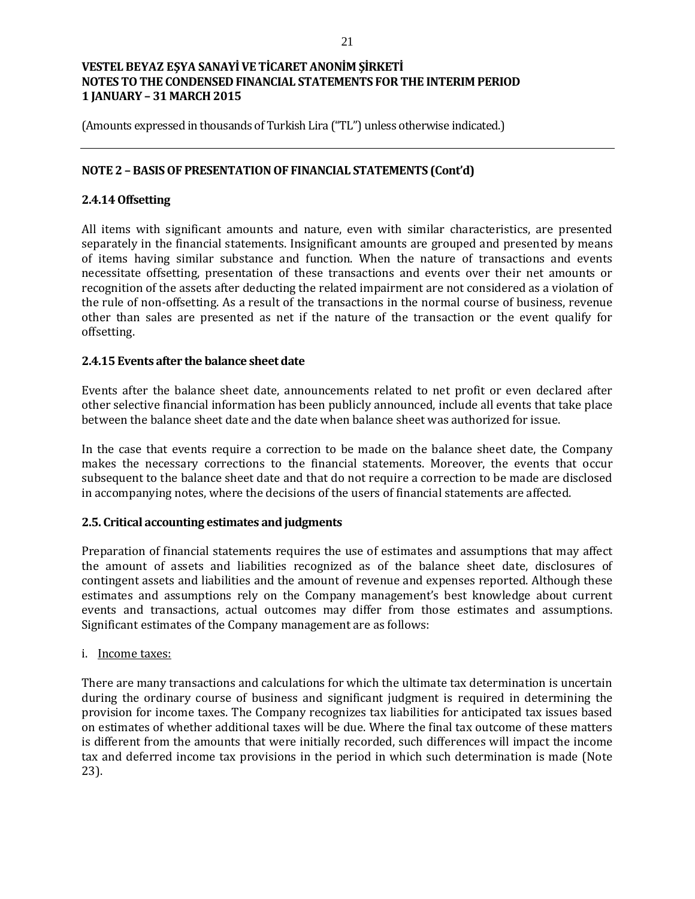(Amounts expressed in thousands of Turkish Lira ("TL") unless otherwise indicated.)

### **NOTE 2 – BASIS OF PRESENTATION OF FINANCIAL STATEMENTS (Cont'd)**

## **2.4.14Offsetting**

All items with significant amounts and nature, even with similar characteristics, are presented separately in the financial statements. Insignificant amounts are grouped and presented by means of items having similar substance and function. When the nature of transactions and events necessitate offsetting, presentation of these transactions and events over their net amounts or recognition of the assets after deducting the related impairment are not considered as a violation of the rule of non-offsetting. As a result of the transactions in the normal course of business, revenue other than sales are presented as net if the nature of the transaction or the event qualify for offsetting.

#### **2.4.15 Events after the balance sheet date**

Events after the balance sheet date, announcements related to net profit or even declared after other selective financial information has been publicly announced, include all events that take place between the balance sheet date and the date when balance sheet was authorized for issue.

In the case that events require a correction to be made on the balance sheet date, the Company makes the necessary corrections to the financial statements. Moreover, the events that occur subsequent to the balance sheet date and that do not require a correction to be made are disclosed in accompanying notes, where the decisions of the users of financial statements are affected.

#### **2.5. Critical accounting estimates and judgments**

Preparation of financial statements requires the use of estimates and assumptions that may affect the amount of assets and liabilities recognized as of the balance sheet date, disclosures of contingent assets and liabilities and the amount of revenue and expenses reported. Although these estimates and assumptions rely on the Company management's best knowledge about current events and transactions, actual outcomes may differ from those estimates and assumptions. Significant estimates of the Company management are as follows:

#### i. Income taxes:

There are many transactions and calculations for which the ultimate tax determination is uncertain during the ordinary course of business and significant judgment is required in determining the provision for income taxes. The Company recognizes tax liabilities for anticipated tax issues based on estimates of whether additional taxes will be due. Where the final tax outcome of these matters is different from the amounts that were initially recorded, such differences will impact the income tax and deferred income tax provisions in the period in which such determination is made (Note 23).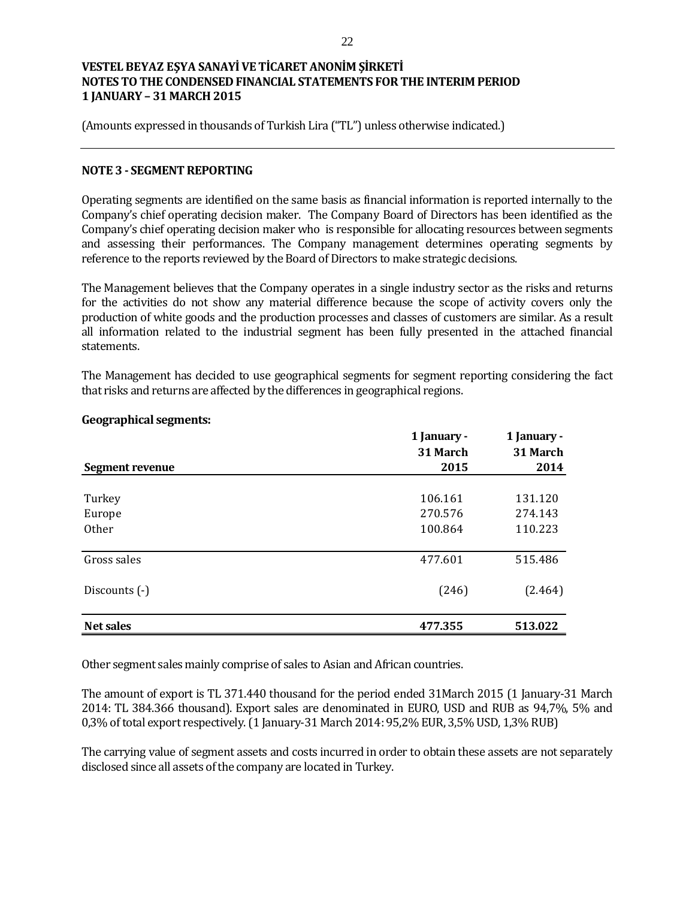(Amounts expressed in thousands of Turkish Lira ("TL") unless otherwise indicated.)

#### **NOTE 3 - SEGMENT REPORTING**

Operating segments are identified on the same basis as financial information is reported internally to the Company's chief operating decision maker. The Company Board of Directors has been identified as the Company's chief operating decision maker who is responsible for allocating resources between segments and assessing their performances. The Company management determines operating segments by reference to the reports reviewed by the Board of Directors to make strategic decisions.

The Management believes that the Company operates in a single industry sector as the risks and returns for the activities do not show any material difference because the scope of activity covers only the production of white goods and the production processes and classes of customers are similar. As a result all information related to the industrial segment has been fully presented in the attached financial statements.

The Management has decided to use geographical segments for segment reporting considering the fact that risks and returns are affected by the differences in geographical regions.

|                  | 1 January - | 1 January -<br>31 March |  |
|------------------|-------------|-------------------------|--|
|                  | 31 March    |                         |  |
| Segment revenue  | 2015        | 2014                    |  |
|                  |             |                         |  |
| Turkey           | 106.161     | 131.120                 |  |
| Europe           | 270.576     | 274.143                 |  |
| <b>Other</b>     | 100.864     | 110.223                 |  |
| Gross sales      | 477.601     | 515.486                 |  |
| Discounts (-)    | (246)       | (2.464)                 |  |
| <b>Net sales</b> | 477.355     | 513.022                 |  |

#### **Geographical segments:**

Other segment sales mainly comprise of sales to Asian and African countries.

The amount of export is TL 371.440 thousand for the period ended 31March 2015 (1 January-31 March 2014: TL 384.366 thousand). Export sales are denominated in EURO, USD and RUB as 94,7%, 5% and 0,3% of total export respectively. (1 January-31 March 2014: 95,2% EUR, 3,5% USD, 1,3% RUB)

The carrying value of segment assets and costs incurred in order to obtain these assets are not separately disclosed since all assets of the company are located in Turkey.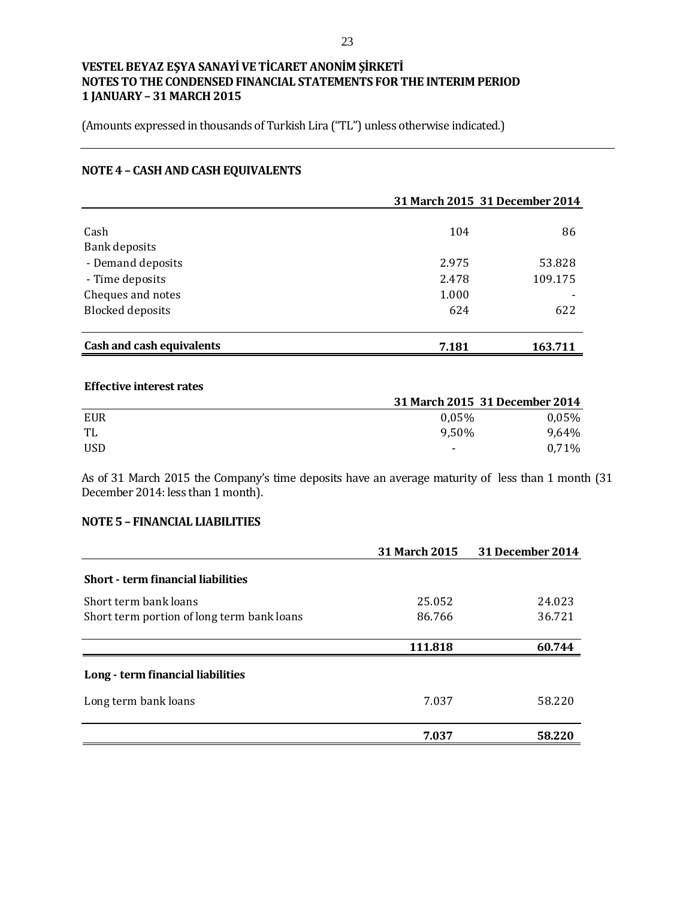(Amounts expressed in thousands of Turkish Lira ("TL") unless otherwise indicated.)

# **NOTE 4 – CASH AND CASH EQUIVALENTS**

|                           | 31 March 2015 31 December 2014 |         |
|---------------------------|--------------------------------|---------|
| Cash                      | 104                            | 86      |
| <b>Bank</b> deposits      |                                |         |
| - Demand deposits         | 2.975                          | 53.828  |
| - Time deposits           | 2.478                          | 109.175 |
| Cheques and notes         | 1.000                          |         |
| <b>Blocked deposits</b>   | 624                            | 622     |
| Cash and cash equivalents | 7.181                          | 163.711 |

#### **Effective interest rates**

|            |          | 31 March 2015 31 December 2014 |
|------------|----------|--------------------------------|
| EUR        | $0.05\%$ | $0.05\%$                       |
| TL         | 9,50%    | 9,64%                          |
| <b>USD</b> | -        | 0.71%                          |

As of 31 March 2015 the Company's time deposits have an average maturity of less than 1 month (31 December 2014: less than 1 month).

#### **NOTE 5 – FINANCIAL LIABILITIES**

|                                            | 31 March 2015 | 31 December 2014 |
|--------------------------------------------|---------------|------------------|
| <b>Short - term financial liabilities</b>  |               |                  |
| Short term bank loans                      | 25.052        | 24.023           |
| Short term portion of long term bank loans | 86.766        | 36.721           |
|                                            |               |                  |
|                                            | 111.818       | 60.744           |
| Long - term financial liabilities          |               |                  |
| Long term bank loans                       | 7.037         | 58.220           |
|                                            | 7.037         | 58.220           |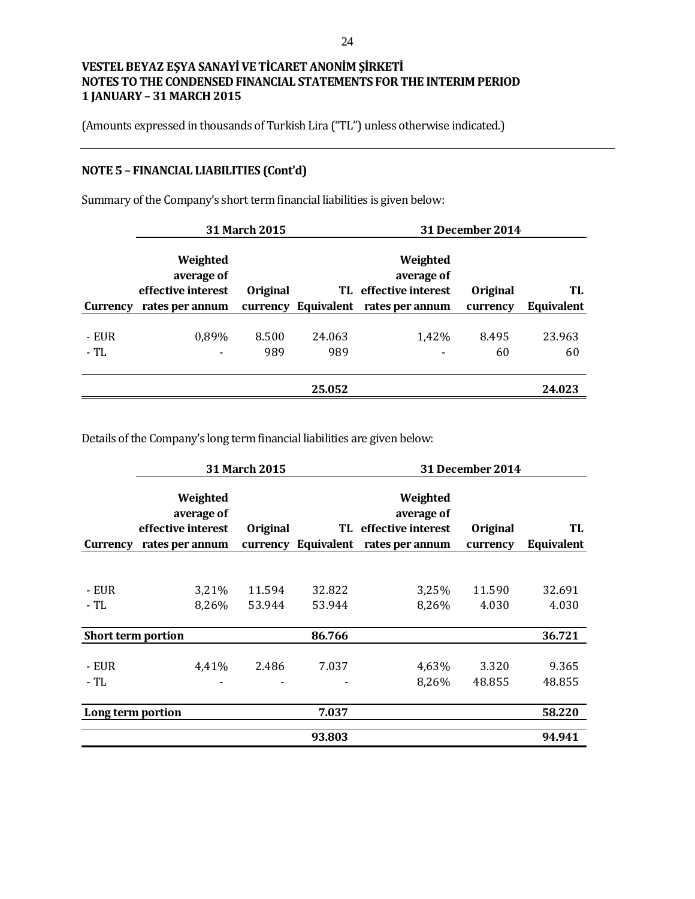(Amounts expressed in thousands of Turkish Lira ("TL") unless otherwise indicated.)

# **NOTE 5 – FINANCIAL LIABILITIES (Cont'd)**

|               |                                                                 | 31 March 2015   |               | 31 December 2014                                                                       |                             |                         |
|---------------|-----------------------------------------------------------------|-----------------|---------------|----------------------------------------------------------------------------------------|-----------------------------|-------------------------|
| Currency      | Weighted<br>average of<br>effective interest<br>rates per annum | <b>Original</b> |               | Weighted<br>average of<br>TL effective interest<br>currency Equivalent rates per annum | <b>Original</b><br>currency | TL<br><b>Equivalent</b> |
| - EUR<br>- TL | 0,89%                                                           | 8.500<br>989    | 24.063<br>989 | 1,42%                                                                                  | 8.495<br>60                 | 23.963<br>60            |
|               |                                                                 |                 | 25.052        |                                                                                        |                             | 24.023                  |

Summary of the Company's short term financial liabilities is given below:

Details of the Company's long term financial liabilities are given below:

|                    |                                              | <b>31 March 2015</b><br><b>31 December 2014</b> |                     |                                                 |                 |                   |
|--------------------|----------------------------------------------|-------------------------------------------------|---------------------|-------------------------------------------------|-----------------|-------------------|
|                    | Weighted<br>average of<br>effective interest | Original                                        |                     | Weighted<br>average of<br>TL effective interest | Original        | TL                |
| Currency           | rates per annum                              |                                                 | currency Equivalent | rates per annum                                 | currency        | <b>Equivalent</b> |
|                    |                                              |                                                 |                     |                                                 |                 |                   |
| - EUR              | 3,21%                                        | 11.594                                          | 32.822              | 3,25%                                           | 11.590          | 32.691            |
| - TL               | 8,26%                                        | 53.944                                          | 53.944              | 8,26%                                           | 4.030           | 4.030             |
| Short term portion |                                              |                                                 | 86.766              |                                                 |                 | 36.721            |
| - EUR<br>- TL      | 4,41%                                        | 2.486                                           | 7.037               | 4,63%<br>8,26%                                  | 3.320<br>48.855 | 9.365<br>48.855   |
| Long term portion  |                                              |                                                 | 7.037               |                                                 |                 | 58.220            |
|                    |                                              |                                                 | 93.803              |                                                 |                 | 94.941            |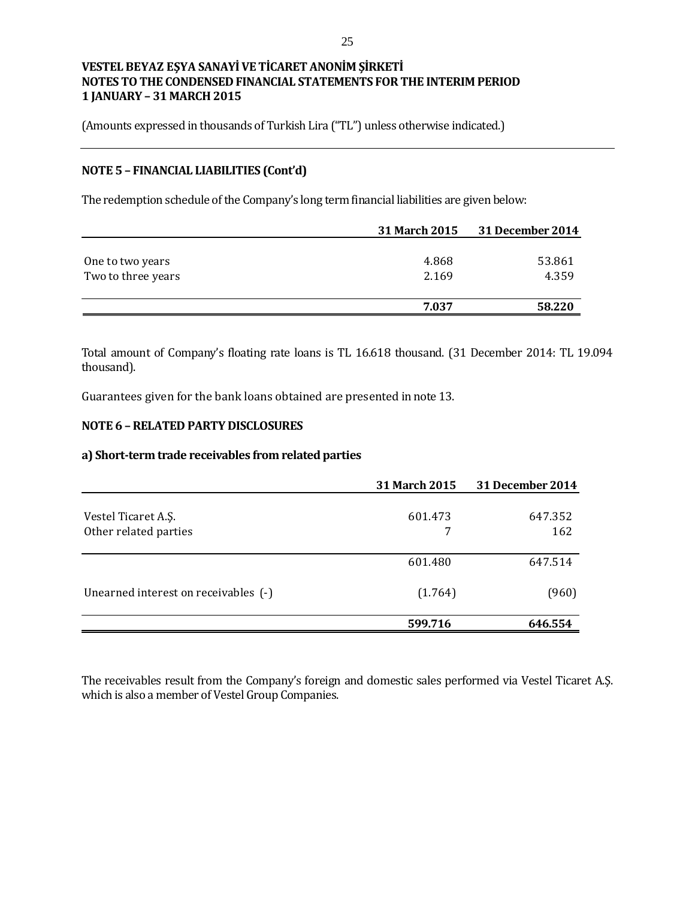(Amounts expressed in thousands of Turkish Lira ("TL") unless otherwise indicated.)

### **NOTE 5 – FINANCIAL LIABILITIES (Cont'd)**

The redemption schedule of the Company's long term financial liabilities are given below:

|                    | <b>31 March 2015</b> | 31 December 2014 |
|--------------------|----------------------|------------------|
|                    |                      |                  |
| One to two years   | 4.868                | 53.861           |
| Two to three years | 2.169                | 4.359            |
|                    |                      |                  |
|                    | 7.037                | 58.220           |

Total amount of Company's floating rate loans is TL 16.618 thousand. (31 December 2014: TL 19.094 thousand).

Guarantees given for the bank loans obtained are presented in note 13.

## **NOTE 6 –RELATED PARTY DISCLOSURES**

#### **a) Short-term trade receivables from related parties**

|                                      | 31 March 2015 | 31 December 2014 |
|--------------------------------------|---------------|------------------|
|                                      |               |                  |
| Vestel Ticaret A.S.                  | 601.473       | 647.352          |
| Other related parties                |               | 162              |
|                                      |               |                  |
|                                      | 601.480       | 647.514          |
|                                      |               |                  |
| Unearned interest on receivables (-) | (1.764)       | (960)            |
|                                      |               |                  |
|                                      | 599.716       | 646.554          |

The receivables result from the Company's foreign and domestic sales performed via Vestel Ticaret A.Ş. which is also a member of Vestel Group Companies.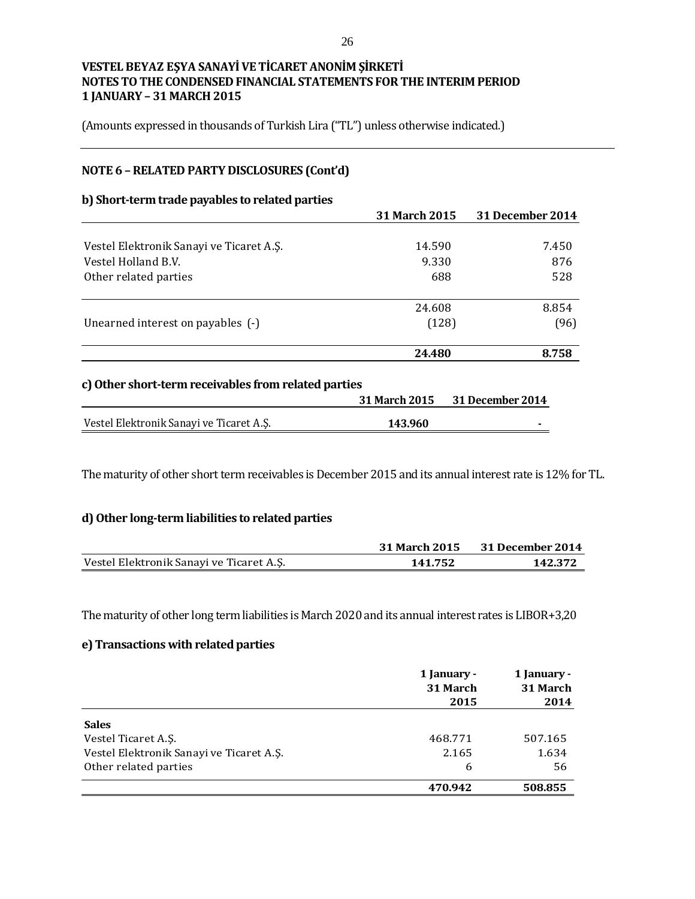(Amounts expressed in thousands of Turkish Lira ("TL") unless otherwise indicated.)

#### **NOTE 6 –RELATED PARTY DISCLOSURES (Cont'd)**

#### **b) Short-term trade payables to related parties**

|                                          | <b>31 March 2015</b> | 31 December 2014 |
|------------------------------------------|----------------------|------------------|
|                                          |                      |                  |
| Vestel Elektronik Sanayi ve Ticaret A.Ş. | 14.590               | 7.450            |
| Vestel Holland B.V.                      | 9.330                | 876              |
| Other related parties                    | 688                  | 528              |
|                                          | 24.608               | 8.854            |
| Unearned interest on payables (-)        | (128)                | (96)             |
|                                          | 24.480               | 8.758            |

#### **c) Other short-term receivables from related parties**

|                                          |         | 31 March 2015 31 December 2014 |
|------------------------------------------|---------|--------------------------------|
| Vestel Elektronik Sanayi ve Ticaret A.Ş. | 143.960 |                                |

The maturity of other short term receivables is December 2015 and its annual interest rate is 12% for TL.

#### **d) Other long-term liabilities to related parties**

|                                          | <b>31 March 2015</b> | <b>31 December 2014</b> |
|------------------------------------------|----------------------|-------------------------|
| Vestel Elektronik Sanayi ve Ticaret A.Ş. | 141.752              | 142.372                 |

The maturity of other long term liabilities is March 2020 and its annual interest rates is LIBOR+3,20

#### **e) Transactions with related parties**

|                                          | 1 January -<br>31 March | 1 January -<br>31 March |
|------------------------------------------|-------------------------|-------------------------|
|                                          | 2015                    | 2014                    |
| <b>Sales</b>                             |                         |                         |
| Vestel Ticaret A.S.                      | 468.771                 | 507.165                 |
| Vestel Elektronik Sanayi ve Ticaret A.Ş. | 2.165                   | 1.634                   |
| Other related parties                    | 6                       | 56                      |
|                                          | 470.942                 | 508.855                 |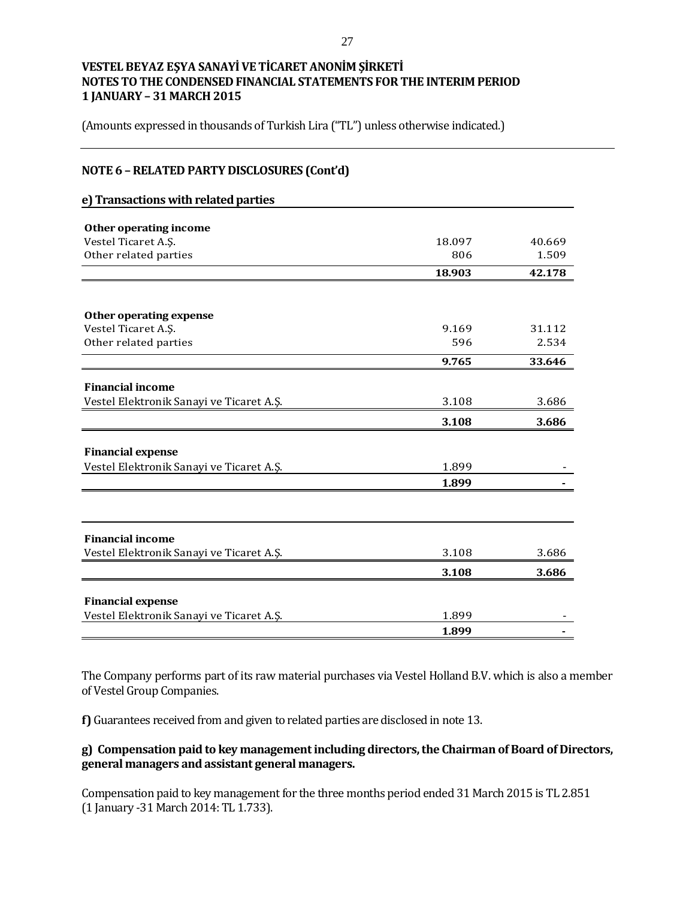(Amounts expressed in thousands of Turkish Lira ("TL") unless otherwise indicated.)

#### **NOTE 6 –RELATED PARTY DISCLOSURES (Cont'd)**

| Other operating income                   |        |        |
|------------------------------------------|--------|--------|
| Vestel Ticaret A.Ş.                      | 18.097 | 40.669 |
| Other related parties                    | 806    | 1.509  |
|                                          | 18.903 | 42.178 |
|                                          |        |        |
| Other operating expense                  |        |        |
| Vestel Ticaret A.Ş.                      | 9.169  | 31.112 |
| Other related parties                    | 596    | 2.534  |
|                                          | 9.765  | 33.646 |
| <b>Financial income</b>                  |        |        |
| Vestel Elektronik Sanayi ve Ticaret A.Ş. | 3.108  | 3.686  |
|                                          | 3.108  | 3.686  |
|                                          |        |        |
| <b>Financial expense</b>                 |        |        |
| Vestel Elektronik Sanayi ve Ticaret A.Ş. | 1.899  |        |
|                                          | 1.899  |        |
|                                          |        |        |
| <b>Financial income</b>                  |        |        |
| Vestel Elektronik Sanayi ve Ticaret A.Ş. | 3.108  | 3.686  |
|                                          | 3.108  | 3.686  |
|                                          |        |        |
| <b>Financial expense</b>                 |        |        |
| Vestel Elektronik Sanayi ve Ticaret A.Ş. | 1.899  |        |
|                                          | 1.899  |        |

The Company performs part of its raw material purchases via Vestel Holland B.V. which is also a member of Vestel Group Companies.

**f)** Guarantees received from and given to related parties are disclosed in note 13.

## **g) Compensation paid to key management including directors, the Chairman of Board of Directors, general managers and assistant general managers.**

Compensation paid to key management for the three months period ended 31 March 2015 is TL 2.851 (1 January -31 March 2014: TL 1.733).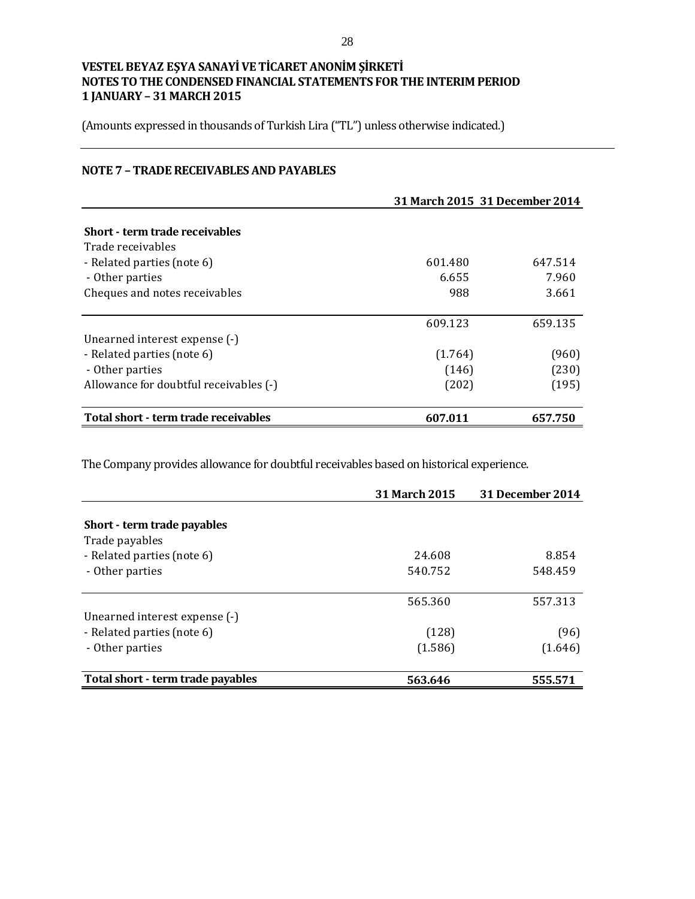(Amounts expressed in thousands of Turkish Lira ("TL") unless otherwise indicated.)

## **NOTE 7 – TRADE RECEIVABLES AND PAYABLES**

|                                        | 31 March 2015 31 December 2014 |         |
|----------------------------------------|--------------------------------|---------|
| Short - term trade receivables         |                                |         |
| Trade receivables                      |                                |         |
| - Related parties (note 6)             | 601.480                        | 647.514 |
| - Other parties                        | 6.655                          | 7.960   |
| Cheques and notes receivables          | 988                            | 3.661   |
|                                        | 609.123                        | 659.135 |
| Unearned interest expense (-)          |                                |         |
| - Related parties (note 6)             | (1.764)                        | (960)   |
| - Other parties                        | (146)                          | (230)   |
| Allowance for doubtful receivables (-) | (202)                          | (195)   |
| Total short - term trade receivables   | 607.011                        | 657.750 |

The Company provides allowance for doubtful receivables based on historical experience.

|                                                             | 31 March 2015    | 31 December 2014 |
|-------------------------------------------------------------|------------------|------------------|
| Short - term trade payables<br>Trade payables               |                  |                  |
| - Related parties (note 6)                                  | 24.608           | 8.854            |
| - Other parties                                             | 540.752          | 548.459          |
| Unearned interest expense (-)<br>- Related parties (note 6) | 565.360<br>(128) | 557.313<br>(96)  |
| - Other parties                                             | (1.586)          | (1.646)          |
| Total short - term trade payables                           | 563.646          | 555.571          |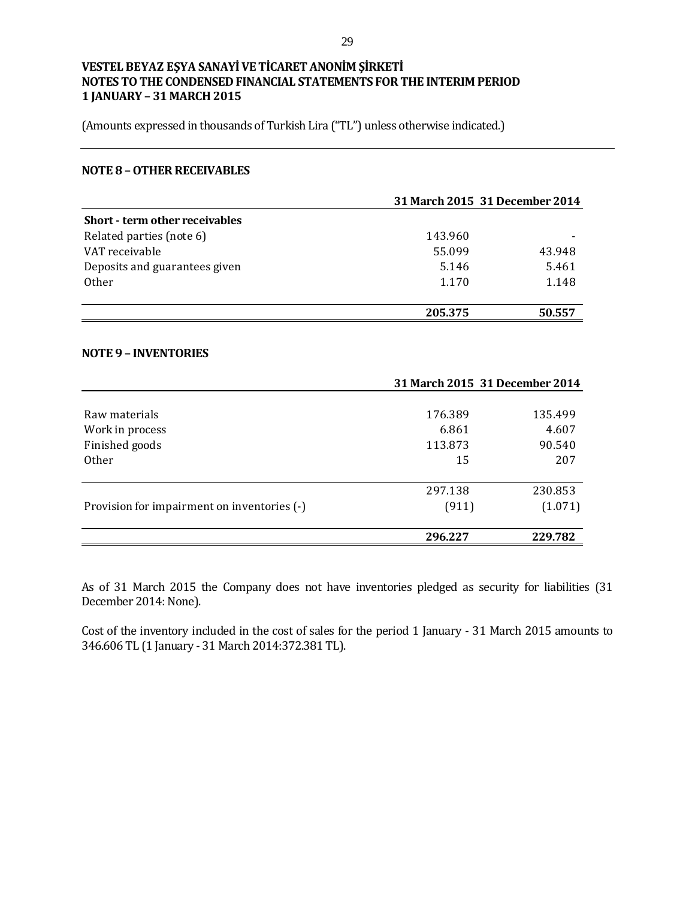(Amounts expressed in thousands of Turkish Lira ("TL") unless otherwise indicated.)

#### **NOTE 8 –OTHER RECEIVABLES**

|                                       | 31 March 2015 31 December 2014 |        |  |
|---------------------------------------|--------------------------------|--------|--|
| <b>Short - term other receivables</b> |                                |        |  |
| Related parties (note 6)              | 143.960                        |        |  |
| VAT receivable                        | 55.099                         | 43.948 |  |
| Deposits and guarantees given         | 5.146                          | 5.461  |  |
| <b>Other</b>                          | 1.170                          | 1.148  |  |
|                                       | 205.375                        | 50.557 |  |

#### **NOTE 9 – INVENTORIES**

|                                             | 31 March 2015 31 December 2014 |         |
|---------------------------------------------|--------------------------------|---------|
|                                             |                                |         |
| Raw materials                               | 176.389                        | 135.499 |
| Work in process                             | 6.861                          | 4.607   |
| Finished goods                              | 113.873                        | 90.540  |
| <b>Other</b>                                | 15                             | 207     |
|                                             | 297.138                        | 230.853 |
| Provision for impairment on inventories (-) | (911)                          | (1.071) |
|                                             | 296.227                        | 229.782 |

As of 31 March 2015 the Company does not have inventories pledged as security for liabilities (31 December 2014: None).

Cost of the inventory included in the cost of sales for the period 1 January - 31 March 2015 amounts to 346.606 TL (1 January - 31 March 2014:372.381 TL).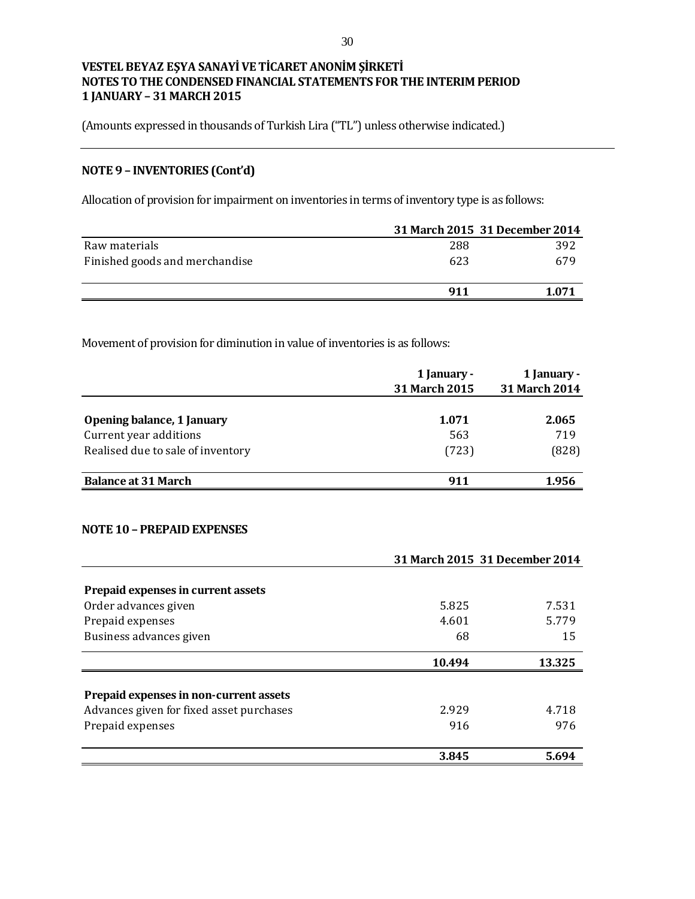(Amounts expressed in thousands of Turkish Lira ("TL") unless otherwise indicated.)

# **NOTE 9 – INVENTORIES (Cont'd)**

Allocation of provision for impairment on inventories in terms of inventory type is as follows:

|                                | 31 March 2015 31 December 2014 |       |
|--------------------------------|--------------------------------|-------|
| Raw materials                  | 288                            | 392   |
| Finished goods and merchandise | 623                            | 679   |
|                                | 911                            | 1.071 |

Movement of provision for diminution in value of inventories is as follows:

|                                   | 1 January -<br>31 March 2015 | 1 January -<br>31 March 2014 |
|-----------------------------------|------------------------------|------------------------------|
| Opening balance, 1 January        | 1.071                        | 2.065                        |
| Current year additions            | 563                          | 719                          |
| Realised due to sale of inventory | (723)                        | (828)                        |
| <b>Balance at 31 March</b>        | 911                          | 1.956                        |

#### **NOTE 10 – PREPAID EXPENSES**

|        | 31 March 2015 31 December 2014 |
|--------|--------------------------------|
|        |                                |
|        |                                |
| 5.825  | 7.531                          |
| 4.601  | 5.779                          |
| 68     | 15                             |
| 10.494 | 13.325                         |
|        |                                |
|        |                                |
| 2.929  | 4.718                          |
| 916    | 976                            |
| 3.845  | 5.694                          |
|        |                                |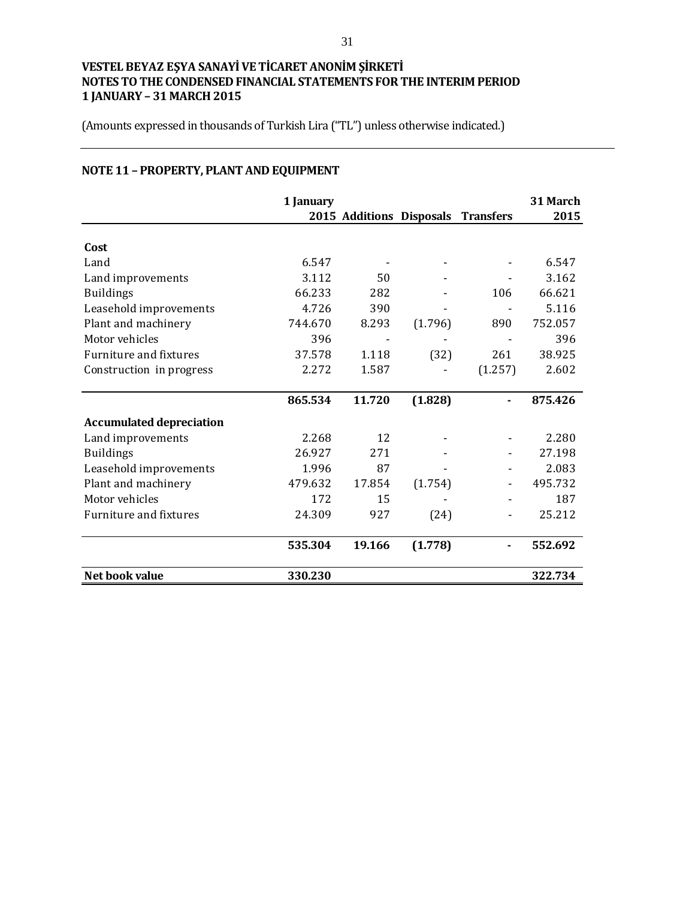(Amounts expressed in thousands of Turkish Lira ("TL") unless otherwise indicated.)

# **NOTE 11 – PROPERTY, PLANT AND EQUIPMENT**

|                                 | 1 January |                                    |         |         | 31 March |
|---------------------------------|-----------|------------------------------------|---------|---------|----------|
|                                 |           | 2015 Additions Disposals Transfers |         |         | 2015     |
|                                 |           |                                    |         |         |          |
| Cost                            |           |                                    |         |         |          |
| Land                            | 6.547     |                                    |         |         | 6.547    |
| Land improvements               | 3.112     | 50                                 |         |         | 3.162    |
| <b>Buildings</b>                | 66.233    | 282                                |         | 106     | 66.621   |
| Leasehold improvements          | 4.726     | 390                                |         |         | 5.116    |
| Plant and machinery             | 744.670   | 8.293                              | (1.796) | 890     | 752.057  |
| Motor vehicles                  | 396       |                                    |         |         | 396      |
| Furniture and fixtures          | 37.578    | 1.118                              | (32)    | 261     | 38.925   |
| Construction in progress        | 2.272     | 1.587                              |         | (1.257) | 2.602    |
|                                 |           |                                    |         |         |          |
|                                 | 865.534   | 11.720                             | (1.828) |         | 875.426  |
| <b>Accumulated depreciation</b> |           |                                    |         |         |          |
| Land improvements               | 2.268     | 12                                 |         |         | 2.280    |
| <b>Buildings</b>                | 26.927    | 271                                |         |         | 27.198   |
| Leasehold improvements          | 1.996     | 87                                 |         |         | 2.083    |
| Plant and machinery             | 479.632   | 17.854                             | (1.754) |         | 495.732  |
| Motor vehicles                  | 172       | 15                                 |         |         | 187      |
| Furniture and fixtures          | 24.309    | 927                                | (24)    |         | 25.212   |
|                                 | 535.304   | 19.166                             | (1.778) |         | 552.692  |
|                                 |           |                                    |         |         |          |
| Net book value                  | 330.230   |                                    |         |         | 322.734  |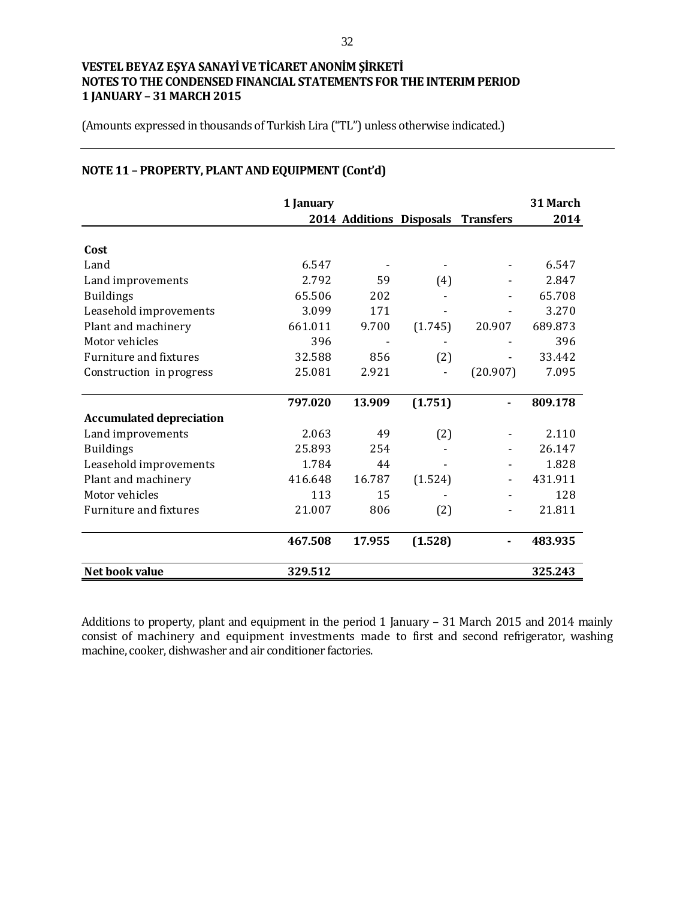(Amounts expressed in thousands of Turkish Lira ("TL") unless otherwise indicated.)

|                                 | 1 January |        |                                    |          | 31 March |
|---------------------------------|-----------|--------|------------------------------------|----------|----------|
|                                 |           |        | 2014 Additions Disposals Transfers |          | 2014     |
| Cost                            |           |        |                                    |          |          |
| Land                            | 6.547     |        |                                    |          | 6.547    |
|                                 | 2.792     | 59     |                                    |          | 2.847    |
| Land improvements               |           |        | (4)                                |          |          |
| <b>Buildings</b>                | 65.506    | 202    |                                    |          | 65.708   |
| Leasehold improvements          | 3.099     | 171    |                                    |          | 3.270    |
| Plant and machinery             | 661.011   | 9.700  | (1.745)                            | 20.907   | 689.873  |
| Motor vehicles                  | 396       |        |                                    |          | 396      |
| Furniture and fixtures          | 32.588    | 856    | (2)                                |          | 33.442   |
| Construction in progress        | 25.081    | 2.921  |                                    | (20.907) | 7.095    |
|                                 | 797.020   | 13.909 | (1.751)                            | Ξ.       | 809.178  |
| <b>Accumulated depreciation</b> |           |        |                                    |          |          |
| Land improvements               | 2.063     | 49     | (2)                                |          | 2.110    |
| <b>Buildings</b>                | 25.893    | 254    |                                    |          | 26.147   |
| Leasehold improvements          | 1.784     | 44     |                                    |          | 1.828    |
| Plant and machinery             | 416.648   | 16.787 | (1.524)                            |          | 431.911  |
| Motor vehicles                  | 113       | 15     |                                    |          | 128      |
| Furniture and fixtures          | 21.007    | 806    | (2)                                |          | 21.811   |
|                                 | 467.508   | 17.955 | (1.528)                            |          | 483.935  |
| Net book value                  | 329.512   |        |                                    |          | 325.243  |

# **NOTE 11 – PROPERTY, PLANT AND EQUIPMENT (Cont'd)**

Additions to property, plant and equipment in the period 1 January – 31 March 2015 and 2014 mainly consist of machinery and equipment investments made to first and second refrigerator, washing machine, cooker, dishwasher and air conditioner factories.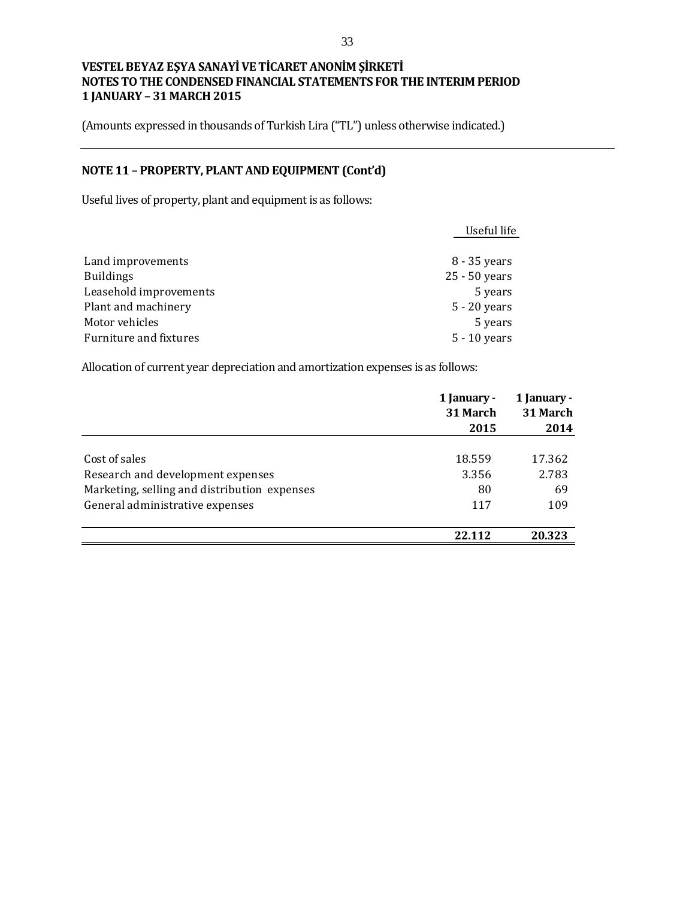(Amounts expressed in thousands of Turkish Lira ("TL") unless otherwise indicated.)

# **NOTE 11 – PROPERTY, PLANT AND EQUIPMENT (Cont'd)**

Useful lives of property, plant and equipment is as follows:

|                        | Useful life    |
|------------------------|----------------|
|                        |                |
| Land improvements      | 8 - 35 years   |
| <b>Buildings</b>       | 25 - 50 years  |
| Leasehold improvements | 5 years        |
| Plant and machinery    | $5 - 20$ years |
| Motor vehicles         | 5 years        |
| Furniture and fixtures | 5 - 10 years   |

Allocation of current year depreciation and amortization expenses is as follows:

|                                              | 1 January - | 1 January - |  |
|----------------------------------------------|-------------|-------------|--|
|                                              | 31 March    | 31 March    |  |
|                                              | 2015        | 2014        |  |
|                                              |             |             |  |
| Cost of sales                                | 18.559      | 17.362      |  |
| Research and development expenses            | 3.356       | 2.783       |  |
| Marketing, selling and distribution expenses | 80          | 69          |  |
| General administrative expenses              | 117         | 109         |  |
|                                              | 22 112      | 20.323      |  |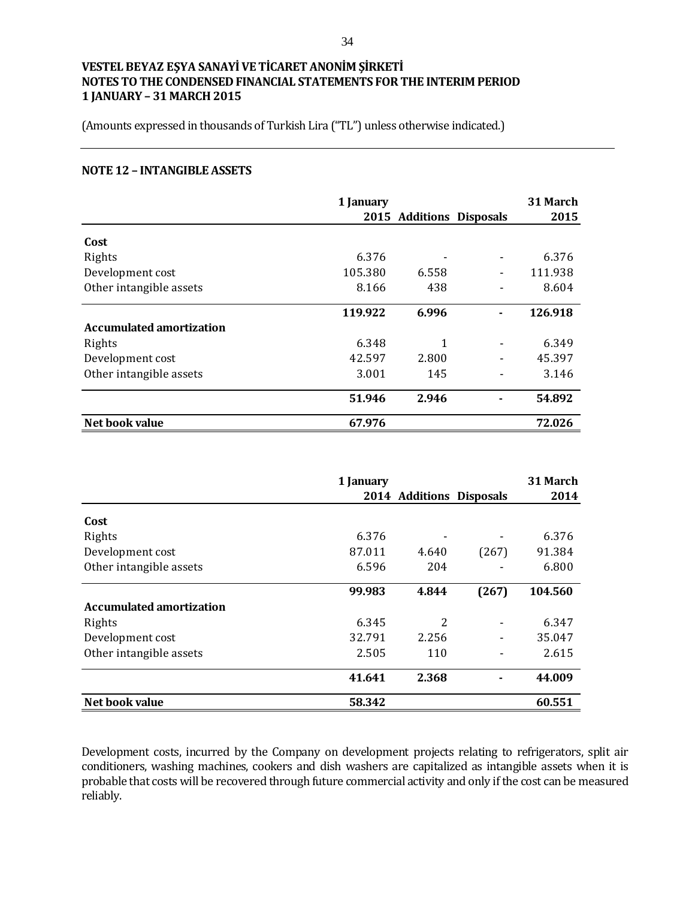(Amounts expressed in thousands of Turkish Lira ("TL") unless otherwise indicated.)

#### **NOTE 12 – INTANGIBLE ASSETS**

|                                 | 1 January |                          |    | 31 March |
|---------------------------------|-----------|--------------------------|----|----------|
|                                 |           | 2015 Additions Disposals |    | 2015     |
| Cost                            |           |                          |    |          |
| Rights                          | 6.376     |                          |    | 6.376    |
| Development cost                | 105.380   | 6.558                    |    | 111.938  |
| Other intangible assets         | 8.166     | 438                      |    | 8.604    |
|                                 | 119.922   | 6.996                    | Ξ. | 126.918  |
| <b>Accumulated amortization</b> |           |                          |    |          |
| Rights                          | 6.348     | 1                        |    | 6.349    |
| Development cost                | 42.597    | 2.800                    |    | 45.397   |
| Other intangible assets         | 3.001     | 145                      |    | 3.146    |
|                                 | 51.946    | 2.946                    |    | 54.892   |
| Net book value                  | 67.976    |                          |    | 72.026   |

|                                 | 1 January |                          |       | 31 March |
|---------------------------------|-----------|--------------------------|-------|----------|
|                                 |           | 2014 Additions Disposals |       | 2014     |
| Cost                            |           |                          |       |          |
| Rights                          | 6.376     |                          |       | 6.376    |
| Development cost                | 87.011    | 4.640                    | (267) | 91.384   |
| Other intangible assets         | 6.596     | 204                      |       | 6.800    |
|                                 | 99.983    | 4.844                    | (267) | 104.560  |
| <b>Accumulated amortization</b> |           |                          |       |          |
| Rights                          | 6.345     | 2                        |       | 6.347    |
| Development cost                | 32.791    | 2.256                    |       | 35.047   |
| Other intangible assets         | 2.505     | 110                      |       | 2.615    |
|                                 | 41.641    | 2.368                    |       | 44.009   |
| Net book value                  | 58.342    |                          |       | 60.551   |

Development costs, incurred by the Company on development projects relating to refrigerators, split air conditioners, washing machines, cookers and dish washers are capitalized as intangible assets when it is probable that costs will be recovered through future commercial activity and only if the cost can be measured reliably.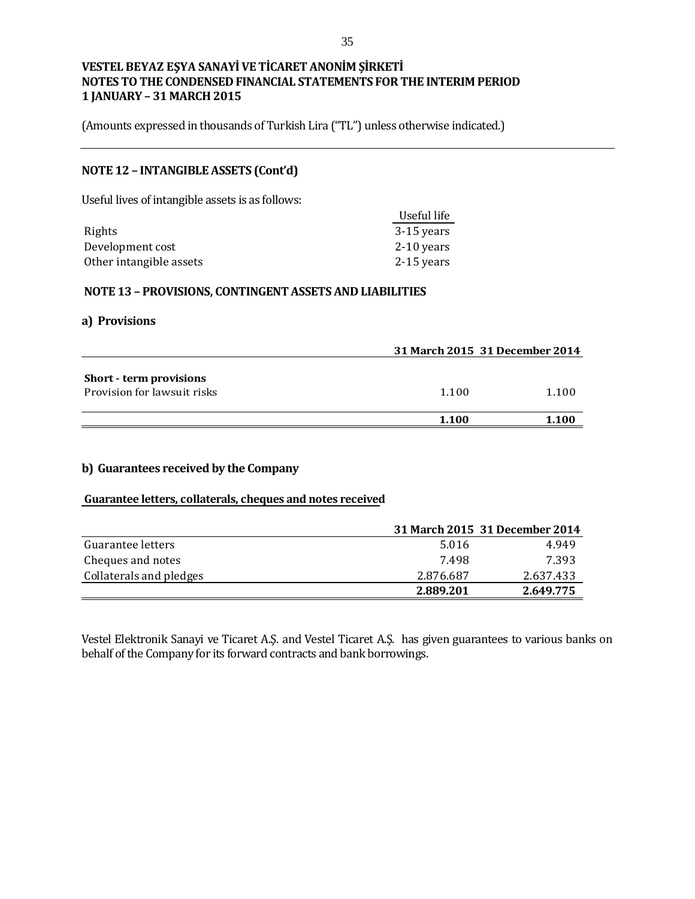(Amounts expressed in thousands of Turkish Lira ("TL") unless otherwise indicated.)

### **NOTE 12 – INTANGIBLE ASSETS (Cont'd)**

Useful lives of intangible assets is as follows:

|                         | Useful life  |
|-------------------------|--------------|
| Rights                  | 3-15 years   |
| Development cost        | $2-10$ years |
| Other intangible assets | $2-15$ years |

#### **NOTE 13 – PROVISIONS, CONTINGENT ASSETS AND LIABILITIES**

#### **a) Provisions**

|                                                               | 31 March 2015 31 December 2014 |       |  |
|---------------------------------------------------------------|--------------------------------|-------|--|
| <b>Short - term provisions</b><br>Provision for lawsuit risks | 1.100                          | 1.100 |  |
|                                                               | 1.100                          | 1.100 |  |

### **b) Guarantees received by the Company**

#### **Guarantee letters, collaterals, cheques and notes received**

|                         |           | 31 March 2015 31 December 2014 |
|-------------------------|-----------|--------------------------------|
| Guarantee letters       | 5.016     | 4.949                          |
| Cheques and notes       | 7.498     | 7.393                          |
| Collaterals and pledges | 2.876.687 | 2.637.433                      |
|                         | 2.889.201 | 2.649.775                      |

Vestel Elektronik Sanayi ve Ticaret A.Ş. and Vestel Ticaret A.Ş. has given guarantees to various banks on behalf of the Company for its forward contracts and bank borrowings.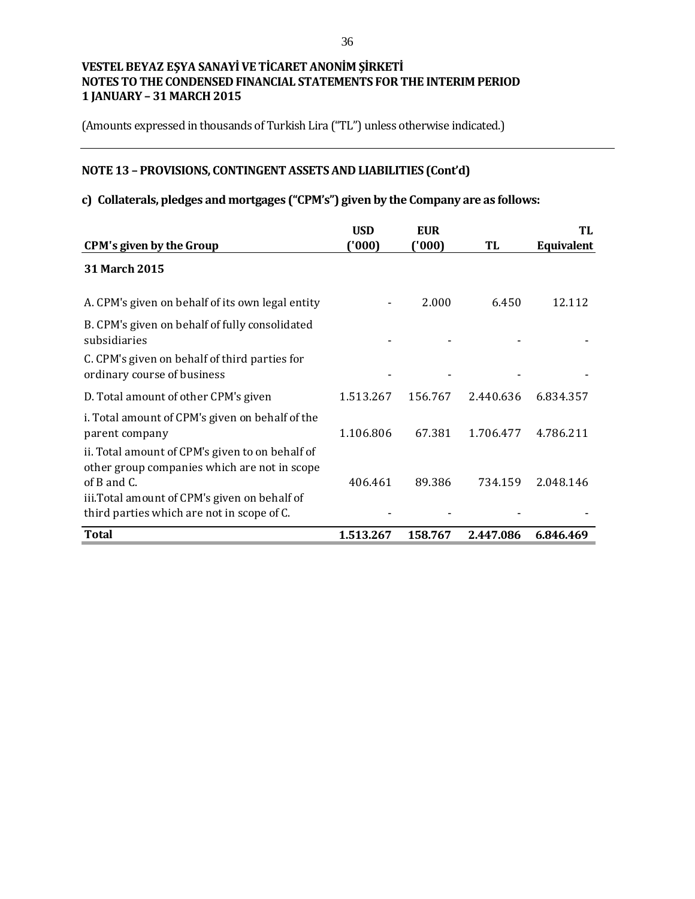(Amounts expressed in thousands of Turkish Lira ("TL") unless otherwise indicated.)

# **NOTE 13 – PROVISIONS, CONTINGENT ASSETS AND LIABILITIES (Cont'd)**

# **c) Collaterals, pledges and mortgages ("CPM's") given by the Company are as follows:**

|                                                                                                                                                                 | <b>USD</b> | <b>EUR</b> |           | TL                |
|-----------------------------------------------------------------------------------------------------------------------------------------------------------------|------------|------------|-----------|-------------------|
| <b>CPM's given by the Group</b>                                                                                                                                 | (1000)     | (1000)     | TL        | <b>Equivalent</b> |
| <b>31 March 2015</b>                                                                                                                                            |            |            |           |                   |
| A. CPM's given on behalf of its own legal entity                                                                                                                |            | 2.000      | 6.450     | 12.112            |
| B. CPM's given on behalf of fully consolidated<br>subsidiaries                                                                                                  |            |            |           |                   |
| C. CPM's given on behalf of third parties for<br>ordinary course of business                                                                                    |            |            |           |                   |
| D. Total amount of other CPM's given                                                                                                                            | 1.513.267  | 156.767    | 2.440.636 | 6.834.357         |
| i. Total amount of CPM's given on behalf of the<br>parent company                                                                                               | 1.106.806  | 67.381     | 1.706.477 | 4.786.211         |
| ii. Total amount of CPM's given to on behalf of<br>other group companies which are not in scope<br>of B and C.<br>iii. Total amount of CPM's given on behalf of | 406.461    | 89.386     | 734.159   | 2.048.146         |
| third parties which are not in scope of C.                                                                                                                      |            |            |           |                   |
| <b>Total</b>                                                                                                                                                    | 1.513.267  | 158.767    | 2.447.086 | 6.846.469         |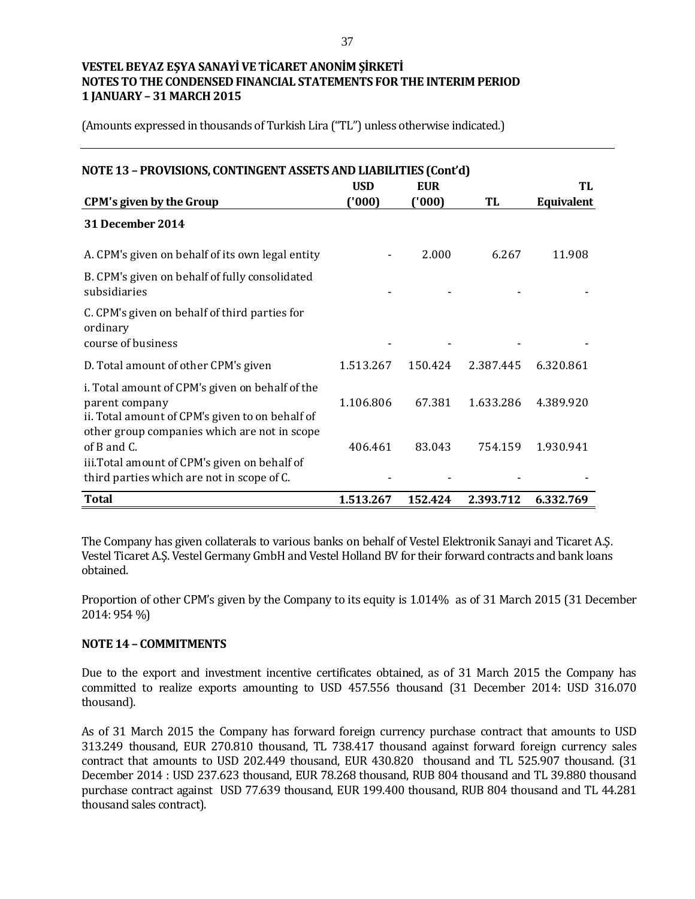(Amounts expressed in thousands of Turkish Lira ("TL") unless otherwise indicated.)

|                                                                                                                                                                      | <b>USD</b> | <b>EUR</b> |           | TL         |
|----------------------------------------------------------------------------------------------------------------------------------------------------------------------|------------|------------|-----------|------------|
| <b>CPM's given by the Group</b>                                                                                                                                      | (1000)     | (1000)     | TL        | Equivalent |
| <b>31 December 2014</b>                                                                                                                                              |            |            |           |            |
| A. CPM's given on behalf of its own legal entity                                                                                                                     |            | 2.000      | 6.267     | 11.908     |
| B. CPM's given on behalf of fully consolidated<br>subsidiaries                                                                                                       |            |            |           |            |
| C. CPM's given on behalf of third parties for<br>ordinary<br>course of business                                                                                      |            |            |           |            |
| D. Total amount of other CPM's given                                                                                                                                 | 1.513.267  | 150.424    | 2.387.445 | 6.320.861  |
| i. Total amount of CPM's given on behalf of the<br>parent company<br>ii. Total amount of CPM's given to on behalf of<br>other group companies which are not in scope | 1.106.806  | 67.381     | 1.633.286 | 4.389.920  |
| of B and C.<br>iii. Total amount of CPM's given on behalf of                                                                                                         | 406.461    | 83.043     | 754.159   | 1.930.941  |
| third parties which are not in scope of C.                                                                                                                           |            |            |           |            |
| <b>Total</b>                                                                                                                                                         | 1.513.267  | 152.424    | 2.393.712 | 6.332.769  |

The Company has given collaterals to various banks on behalf of Vestel Elektronik Sanayi and Ticaret A.Ş. Vestel Ticaret A.Ş. Vestel Germany GmbH and Vestel Holland BV for their forward contracts and bank loans obtained.

Proportion of other CPM's given by the Company to its equity is 1.014% as of 31 March 2015 (31 December 2014: 954 %)

#### **NOTE 14 – COMMITMENTS**

Due to the export and investment incentive certificates obtained, as of 31 March 2015 the Company has committed to realize exports amounting to USD 457.556 thousand (31 December 2014: USD 316.070 thousand).

As of 31 March 2015 the Company has forward foreign currency purchase contract that amounts to USD 313.249 thousand, EUR 270.810 thousand, TL 738.417 thousand against forward foreign currency sales contract that amounts to USD 202.449 thousand, EUR 430.820 thousand and TL 525.907 thousand. (31 December 2014 : USD 237.623 thousand, EUR 78.268 thousand, RUB 804 thousand and TL 39.880 thousand purchase contract against USD 77.639 thousand, EUR 199.400 thousand, RUB 804 thousand and TL 44.281 thousand sales contract).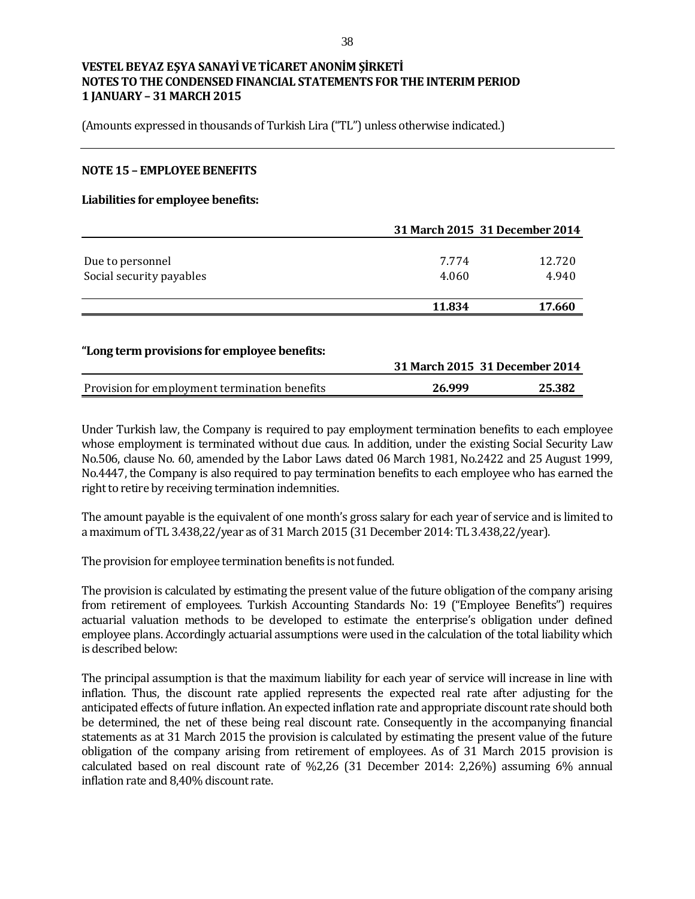(Amounts expressed in thousands of Turkish Lira ("TL") unless otherwise indicated.)

#### **NOTE 15 – EMPLOYEE BENEFITS**

#### **Liabilities for employee benefits:**

|                                               | 31 March 2015 31 December 2014 |        |
|-----------------------------------------------|--------------------------------|--------|
|                                               |                                |        |
| Due to personnel                              | 7.774                          | 12.720 |
| Social security payables                      | 4.060                          | 4.940  |
|                                               | 11.834                         | 17.660 |
|                                               |                                |        |
| "Long term provisions for employee benefits:  | 31 March 2015 31 December 2014 |        |
| Provision for employment termination benefits | 26.999                         | 25.382 |

Under Turkish law, the Company is required to pay employment termination benefits to each employee whose employment is terminated without due caus. In addition, under the existing Social Security Law No.506, clause No. 60, amended by the Labor Laws dated 06 March 1981, No.2422 and 25 August 1999, No.4447, the Company is also required to pay termination benefits to each employee who has earned the right to retire by receiving termination indemnities.

The amount payable is the equivalent of one month's gross salary for each year of service and is limited to a maximum of TL 3.438,22/year as of 31 March 2015 (31 December 2014: TL 3.438,22/year).

The provision for employee termination benefits is not funded.

The provision is calculated by estimating the present value of the future obligation of the company arising from retirement of employees. Turkish Accounting Standards No: 19 ("Employee Benefits") requires actuarial valuation methods to be developed to estimate the enterprise's obligation under defined employee plans. Accordingly actuarial assumptions were used in the calculation of the total liability which is described below:

The principal assumption is that the maximum liability for each year of service will increase in line with inflation. Thus, the discount rate applied represents the expected real rate after adjusting for the anticipated effects of future inflation. An expected inflation rate and appropriate discount rate should both be determined, the net of these being real discount rate. Consequently in the accompanying financial statements as at 31 March 2015 the provision is calculated by estimating the present value of the future obligation of the company arising from retirement of employees. As of 31 March 2015 provision is calculated based on real discount rate of %2,26 (31 December 2014: 2,26%) assuming 6% annual inflation rate and 8,40% discount rate.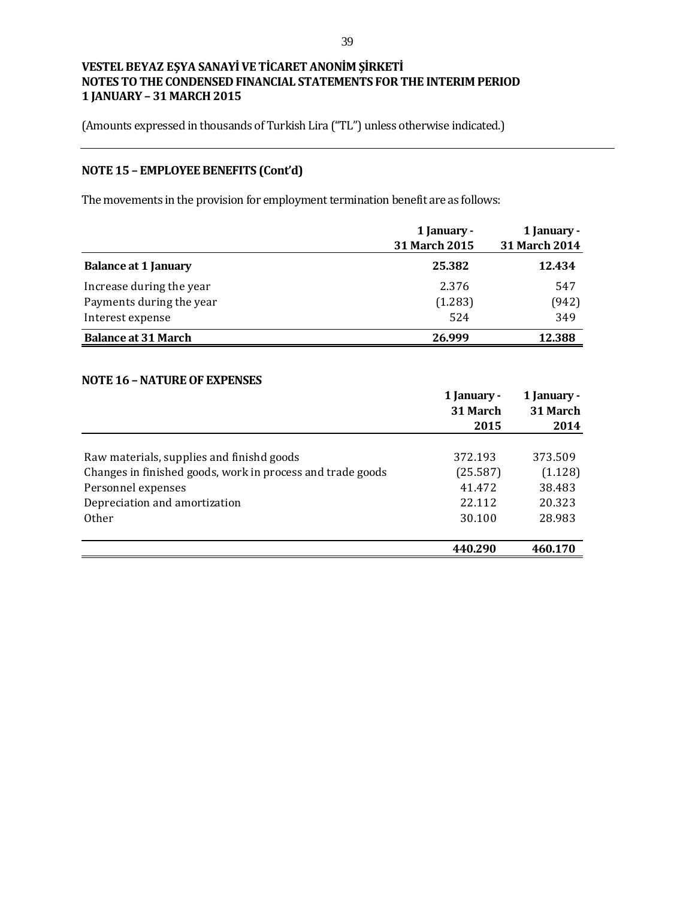(Amounts expressed in thousands of Turkish Lira ("TL") unless otherwise indicated.)

# **NOTE 15 – EMPLOYEE BENEFITS (Cont'd)**

The movements in the provision for employment termination benefit are as follows:

|                             | 1 January -<br>31 March 2015 | 1 January -<br><b>31 March 2014</b> |
|-----------------------------|------------------------------|-------------------------------------|
| <b>Balance at 1 January</b> | 25.382                       | 12.434                              |
| Increase during the year    | 2.376                        | 547                                 |
| Payments during the year    | (1.283)                      | (942)                               |
| Interest expense            | 524                          | 349                                 |
| <b>Balance at 31 March</b>  | 26.999                       | 12.388                              |

#### **NOTE 16 –NATURE OF EXPENSES**

|                                                            | 1 January - | 1 January - |
|------------------------------------------------------------|-------------|-------------|
|                                                            | 31 March    | 31 March    |
|                                                            | 2015        | 2014        |
|                                                            |             |             |
| Raw materials, supplies and finishd goods                  | 372.193     | 373.509     |
| Changes in finished goods, work in process and trade goods | (25.587)    | (1.128)     |
| Personnel expenses                                         | 41.472      | 38.483      |
| Depreciation and amortization                              | 22.112      | 20.323      |
| <b>Other</b>                                               | 30.100      | 28.983      |
|                                                            | 440.290     | 460.170     |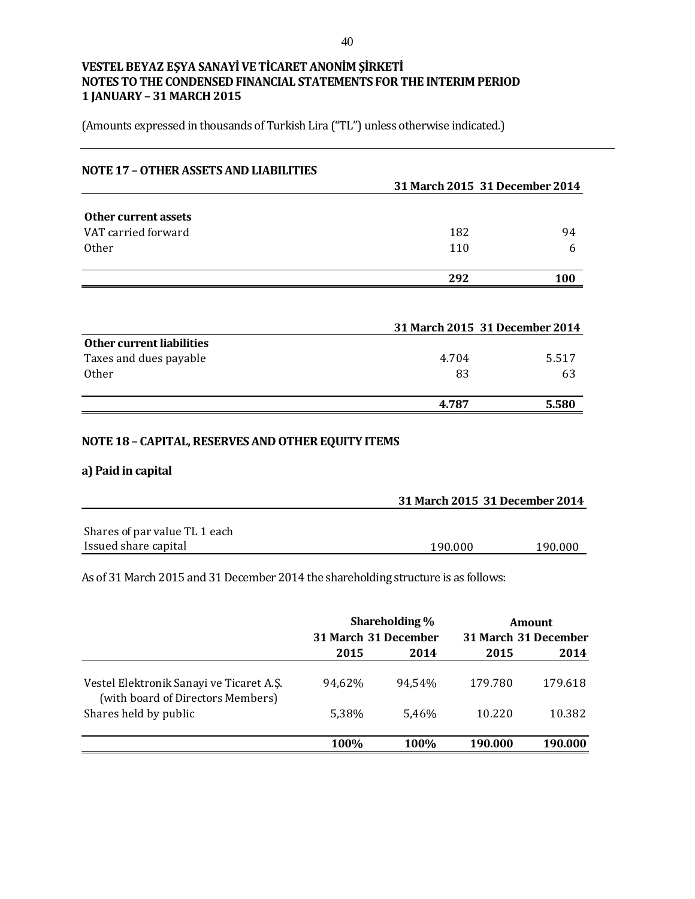(Amounts expressed in thousands of Turkish Lira ("TL") unless otherwise indicated.)

| <b>NOTE 17 - OTHER ASSETS AND LIABILITIES</b> |                                |       |
|-----------------------------------------------|--------------------------------|-------|
|                                               | 31 March 2015 31 December 2014 |       |
| Other current assets                          |                                |       |
| VAT carried forward                           | 182                            | 94    |
| <b>Other</b>                                  | 110                            | 6     |
|                                               | 292                            | 100   |
|                                               |                                |       |
|                                               | 31 March 2015 31 December 2014 |       |
| <b>Other current liabilities</b>              |                                |       |
| Taxes and dues payable                        | 4.704                          | 5.517 |
| <b>Other</b>                                  | 83                             | 63    |
|                                               | 4.787                          | 5.580 |

#### **NOTE 18 – CAPITAL, RESERVES AND OTHER EQUITY ITEMS**

# **a) Paid in capital**

|                               |         | 31 March 2015 31 December 2014 |  |  |
|-------------------------------|---------|--------------------------------|--|--|
|                               |         |                                |  |  |
| Shares of par value TL 1 each |         |                                |  |  |
| Issued share capital          | 190.000 | 190.000                        |  |  |

As of 31 March 2015 and 31 December 2014 the shareholding structure is as follows:

|                                                                               |        | Shareholding %       |         | Amount               |  |
|-------------------------------------------------------------------------------|--------|----------------------|---------|----------------------|--|
|                                                                               |        | 31 March 31 December |         | 31 March 31 December |  |
|                                                                               | 2015   | 2014                 | 2015    | 2014                 |  |
| Vestel Elektronik Sanayi ve Ticaret A.S.<br>(with board of Directors Members) | 94.62% | 94.54%               | 179.780 | 179.618              |  |
| Shares held by public                                                         | 5,38%  | 5.46%                | 10.220  | 10.382               |  |
|                                                                               | 100%   | 100%                 | 190.000 | 190.000              |  |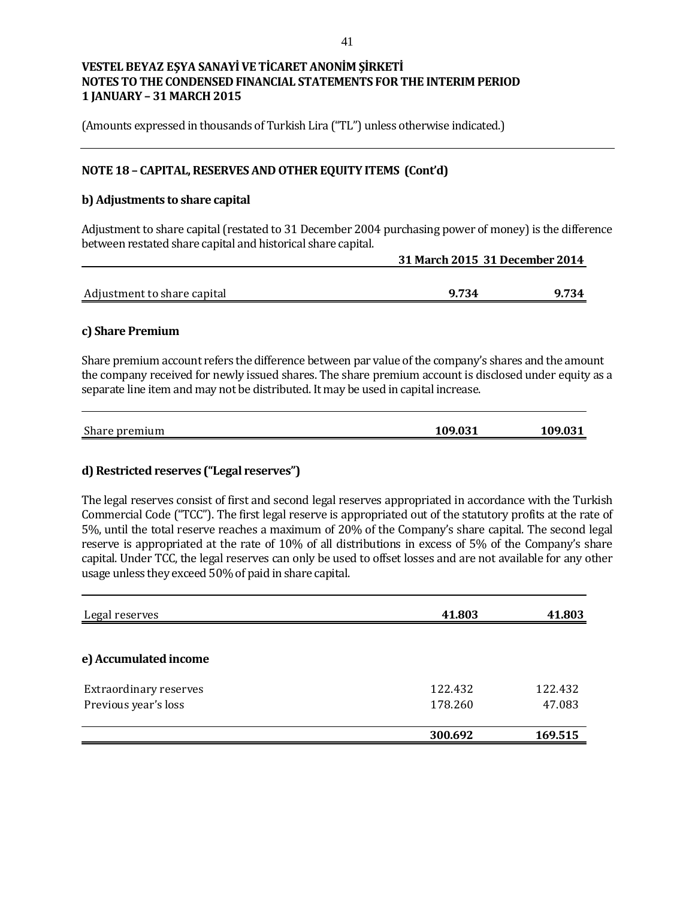(Amounts expressed in thousands of Turkish Lira ("TL") unless otherwise indicated.)

#### **NOTE 18 – CAPITAL, RESERVES AND OTHER EQUITY ITEMS (Cont'd)**

#### **b) Adjustments to share capital**

Adjustment to share capital (restated to 31 December 2004 purchasing power of money) is the difference between restated share capital and historical share capital.

|                             | 31 March 2015 31 December 2014 |       |
|-----------------------------|--------------------------------|-------|
|                             |                                |       |
| Adjustment to share capital | 9.734                          | 9.734 |

#### **c) Share Premium**

Share premium account refers the difference between par value of the company's shares and the amount the company received for newly issued shares. The share premium account is disclosed under equity as a separate line item and may not be distributed. It may be used in capital increase.

| Share premium | 109.031 | vji |
|---------------|---------|-----|
|               |         |     |

#### **d) Restricted reserves ("Legal reserves")**

The legal reserves consist of first and second legal reserves appropriated in accordance with the Turkish Commercial Code ("TCC"). The first legal reserve is appropriated out of the statutory profits at the rate of 5%, until the total reserve reaches a maximum of 20% of the Company's share capital. The second legal reserve is appropriated at the rate of 10% of all distributions in excess of 5% of the Company's share capital. Under TCC, the legal reserves can only be used to offset losses and are not available for any other usage unless they exceed 50% of paid in share capital.

| Legal reserves         | 41.803  | 41.803  |
|------------------------|---------|---------|
|                        |         |         |
| e) Accumulated income  |         |         |
| Extraordinary reserves | 122.432 | 122.432 |
| Previous year's loss   | 178.260 | 47.083  |
|                        | 300.692 | 169.515 |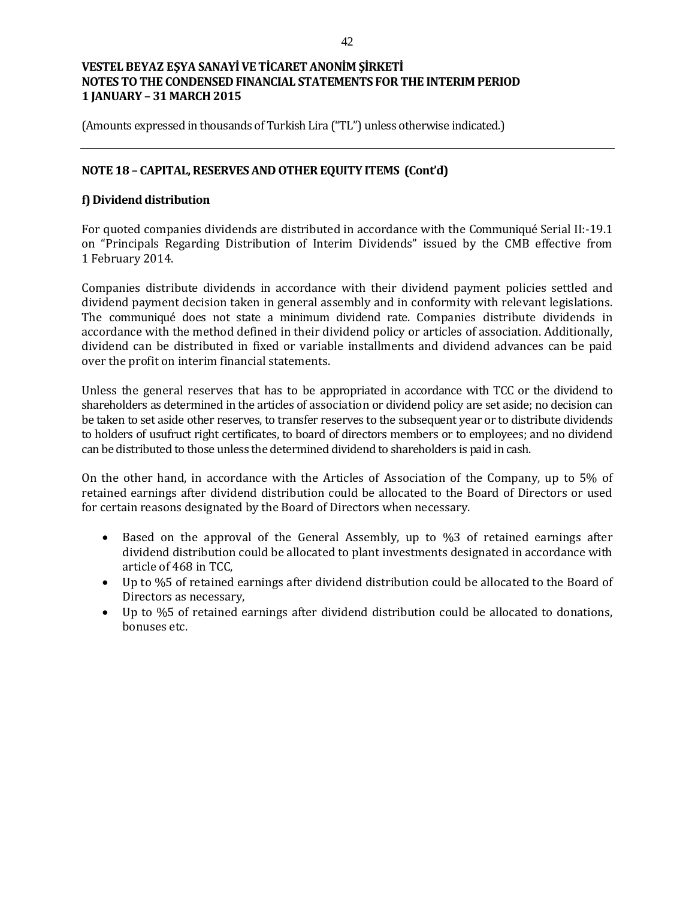(Amounts expressed in thousands of Turkish Lira ("TL") unless otherwise indicated.)

## **NOTE 18 – CAPITAL, RESERVES AND OTHER EQUITY ITEMS (Cont'd)**

### **f) Dividend distribution**

For quoted companies dividends are distributed in accordance with the Communiqué Serial II:-19.1 on "Principals Regarding Distribution of Interim Dividends" issued by the CMB effective from 1 February 2014.

Companies distribute dividends in accordance with their dividend payment policies settled and dividend payment decision taken in general assembly and in conformity with relevant legislations. The communiqué does not state a minimum dividend rate. Companies distribute dividends in accordance with the method defined in their dividend policy or articles of association. Additionally, dividend can be distributed in fixed or variable installments and dividend advances can be paid over the profit on interim financial statements.

Unless the general reserves that has to be appropriated in accordance with TCC or the dividend to shareholders as determined in the articles of association or dividend policy are set aside; no decision can be taken to set aside other reserves, to transfer reserves to the subsequent year or to distribute dividends to holders of usufruct right certificates, to board of directors members or to employees; and no dividend can be distributed to those unless the determined dividend to shareholders is paid in cash.

On the other hand, in accordance with the Articles of Association of the Company, up to 5% of retained earnings after dividend distribution could be allocated to the Board of Directors or used for certain reasons designated by the Board of Directors when necessary.

- Based on the approval of the General Assembly, up to %3 of retained earnings after dividend distribution could be allocated to plant investments designated in accordance with article of 468 in TCC,
- Up to %5 of retained earnings after dividend distribution could be allocated to the Board of Directors as necessary,
- Up to %5 of retained earnings after dividend distribution could be allocated to donations, bonuses etc.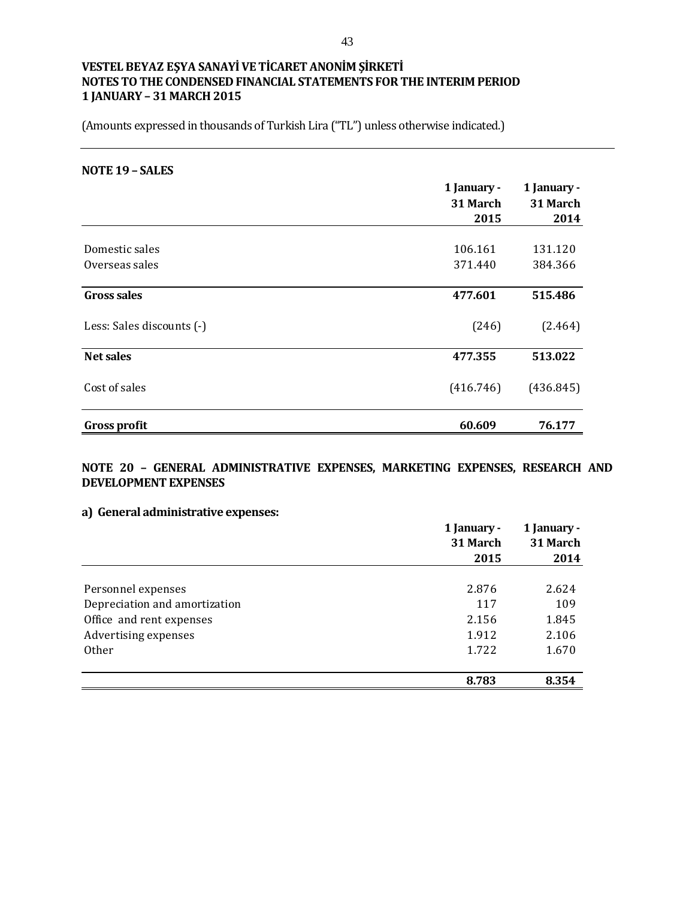(Amounts expressed in thousands of Turkish Lira ("TL") unless otherwise indicated.)

#### **NOTE 19 – SALES**

|                           | 1 January - | 1 January -<br>31 March |  |
|---------------------------|-------------|-------------------------|--|
|                           | 31 March    |                         |  |
|                           | 2015        | 2014                    |  |
|                           |             |                         |  |
| Domestic sales            | 106.161     | 131.120                 |  |
| Overseas sales            | 371.440     | 384.366                 |  |
| <b>Gross sales</b>        | 477.601     | 515.486                 |  |
| Less: Sales discounts (-) | (246)       | (2.464)                 |  |
| <b>Net sales</b>          | 477.355     | 513.022                 |  |
| Cost of sales             | (416.746)   | (436.845)               |  |
| <b>Gross profit</b>       | 60.609      | 76.177                  |  |

#### **NOTE 20 – GENERAL ADMINISTRATIVE EXPENSES, MARKETING EXPENSES, RESEARCH AND DEVELOPMENT EXPENSES**

# **a) General administrative expenses:**

|                               | 1 January - | 1 January -<br>31 March |  |
|-------------------------------|-------------|-------------------------|--|
|                               | 31 March    |                         |  |
|                               | 2015        | 2014                    |  |
| Personnel expenses            | 2.876       | 2.624                   |  |
| Depreciation and amortization | 117         | 109                     |  |
| Office and rent expenses      | 2.156       | 1.845                   |  |
| Advertising expenses          | 1.912       | 2.106                   |  |
| <b>Other</b>                  | 1.722       | 1.670                   |  |
|                               | 8.783       | 8.354                   |  |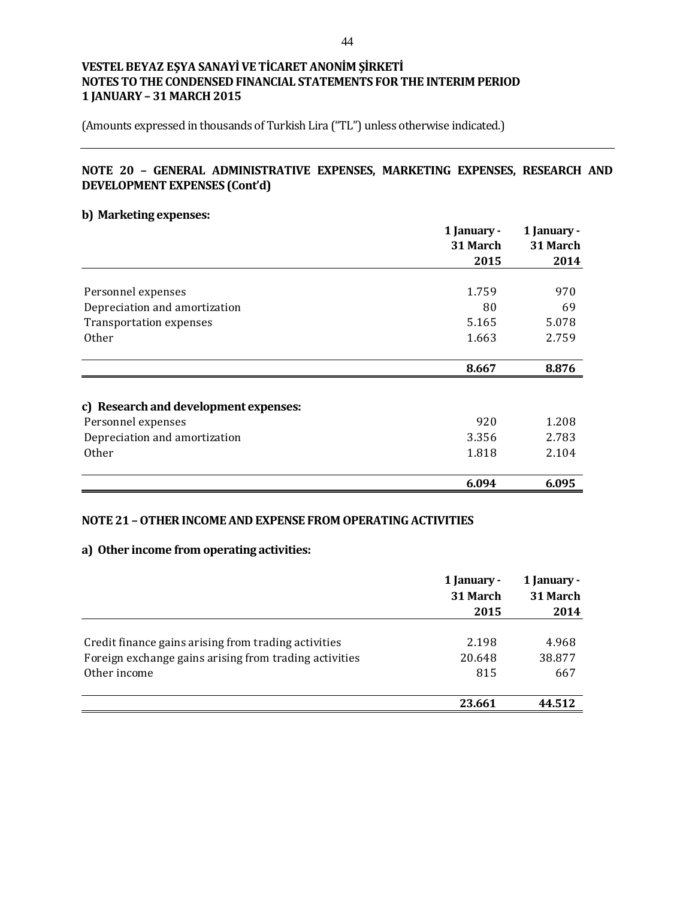(Amounts expressed in thousands of Turkish Lira ("TL") unless otherwise indicated.)

# **NOTE 20 – GENERAL ADMINISTRATIVE EXPENSES, MARKETING EXPENSES, RESEARCH AND DEVELOPMENT EXPENSES (Cont'd)**

#### **b) Marketing expenses:**

|                                       | 1 January - | 1 January - |  |
|---------------------------------------|-------------|-------------|--|
|                                       | 31 March    | 31 March    |  |
|                                       | 2015        | 2014        |  |
| Personnel expenses                    | 1.759       | 970         |  |
| Depreciation and amortization         | 80          | 69          |  |
| Transportation expenses               | 5.165       | 5.078       |  |
| 0ther                                 | 1.663       | 2.759       |  |
|                                       | 8.667       | 8.876       |  |
|                                       |             |             |  |
| c) Research and development expenses: |             |             |  |
| Personnel expenses                    | 920         | 1.208       |  |
| Depreciation and amortization         | 3.356       | 2.783       |  |
| <b>Other</b>                          | 1.818       | 2.104       |  |
|                                       | 6.094       | 6.095       |  |

## **NOTE 21 –OTHER INCOME AND EXPENSE FROM OPERATING ACTIVITIES**

## **a) Other income from operating activities:**

|                                                        | 1 January - | 1 January - |
|--------------------------------------------------------|-------------|-------------|
|                                                        | 31 March    | 31 March    |
|                                                        | 2015        | 2014        |
| Credit finance gains arising from trading activities   | 2.198       | 4.968       |
| Foreign exchange gains arising from trading activities | 20.648      | 38.877      |
| Other income                                           | 815         | 667         |
|                                                        | 23.661      | 44.512      |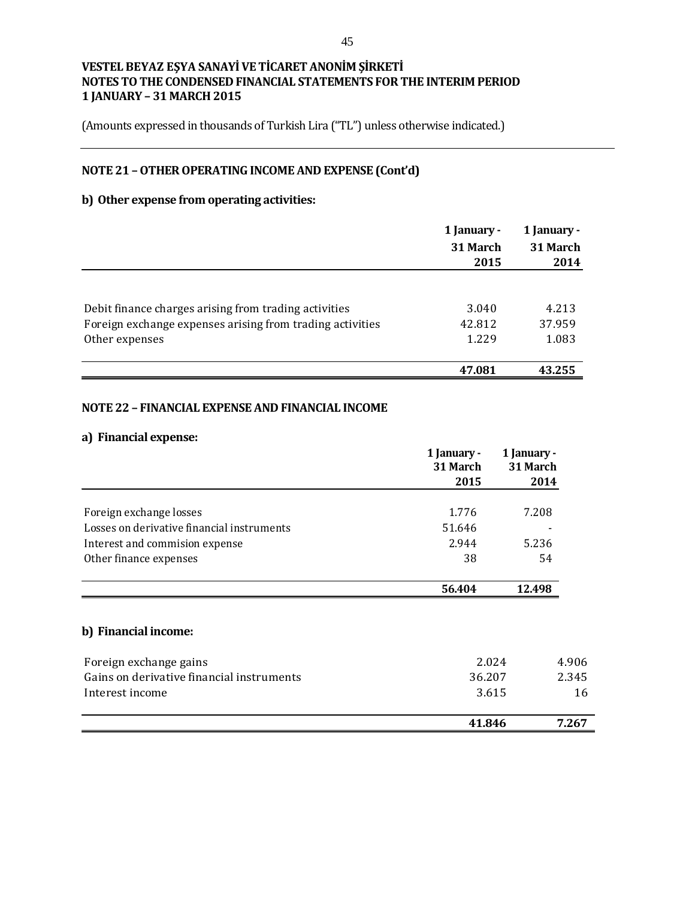(Amounts expressed in thousands of Turkish Lira ("TL") unless otherwise indicated.)

# **NOTE 21 –OTHER OPERATING INCOME AND EXPENSE (Cont'd)**

# **b) Other expense from operating activities:**

|                                                           | 1 January - | 1 January - |  |
|-----------------------------------------------------------|-------------|-------------|--|
|                                                           | 31 March    | 31 March    |  |
|                                                           | 2015        | 2014        |  |
|                                                           |             |             |  |
| Debit finance charges arising from trading activities     | 3.040       | 4.213       |  |
| Foreign exchange expenses arising from trading activities | 42.812      | 37.959      |  |
| Other expenses                                            | 1.229       | 1.083       |  |
|                                                           | 47.081      | 43.255      |  |

## **NOTE 22 – FINANCIAL EXPENSE AND FINANCIAL INCOME**

### **a) Financial expense:**

|                                            | 1 January -<br>31 March | 1 January -<br>31 March |       |
|--------------------------------------------|-------------------------|-------------------------|-------|
|                                            | 2015                    | 2014                    |       |
| Foreign exchange losses                    | 1.776                   | 7.208                   |       |
| Losses on derivative financial instruments | 51.646                  |                         |       |
| Interest and commision expense             | 2.944                   | 5.236                   |       |
| Other finance expenses                     | 38                      | 54                      |       |
|                                            | 56.404                  | 12.498                  |       |
| b) Financial income:                       |                         |                         |       |
| Foreign exchange gains                     | 2.024                   |                         | 4.906 |
| Gains on derivative financial instruments  | 36.207                  |                         | 2.345 |
| Interest income                            | 3.615                   |                         | 16    |
|                                            | 41.846                  |                         | 7.267 |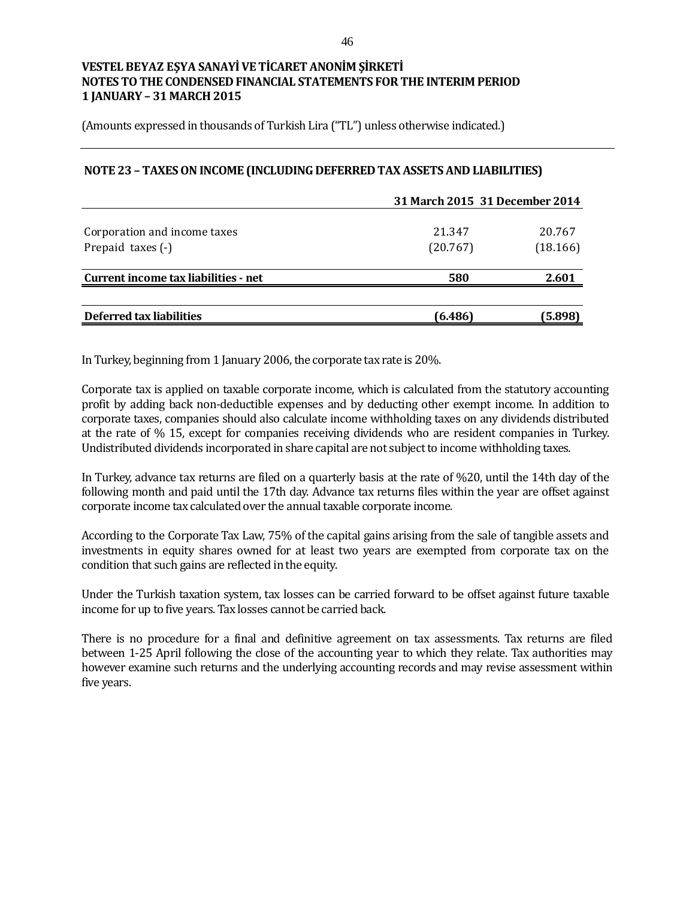(Amounts expressed in thousands of Turkish Lira ("TL") unless otherwise indicated.)

#### **NOTE 23 –TAXES ON INCOME (INCLUDING DEFERRED TAX ASSETS AND LIABILITIES)**

|                                      | 31 March 2015 31 December 2014 |          |
|--------------------------------------|--------------------------------|----------|
| Corporation and income taxes         | 21.347                         | 20.767   |
|                                      |                                |          |
| Prepaid taxes (-)                    | (20.767)                       | (18.166) |
| Current income tax liabilities - net | 580                            | 2.601    |
|                                      |                                |          |
| Deferred tax liabilities             | (6.486)                        | (5.898   |

In Turkey, beginning from 1 January 2006, the corporate tax rate is 20%.

Corporate tax is applied on taxable corporate income, which is calculated from the statutory accounting profit by adding back non-deductible expenses and by deducting other exempt income. In addition to corporate taxes, companies should also calculate income withholding taxes on any dividends distributed at the rate of % 15, except for companies receiving dividends who are resident companies in Turkey. Undistributed dividends incorporated in share capital are not subject to income withholding taxes.

In Turkey, advance tax returns are filed on a quarterly basis at the rate of %20, until the 14th day of the following month and paid until the 17th day. Advance tax returns files within the year are offset against corporate income tax calculated over the annual taxable corporate income.

According to the Corporate Tax Law, 75% of the capital gains arising from the sale of tangible assets and investments in equity shares owned for at least two years are exempted from corporate tax on the condition that such gains are reflected in the equity.

Under the Turkish taxation system, tax losses can be carried forward to be offset against future taxable income for up to five years. Tax losses cannot be carried back.

There is no procedure for a final and definitive agreement on tax assessments. Tax returns are filed between 1-25 April following the close of the accounting year to which they relate. Tax authorities may however examine such returns and the underlying accounting records and may revise assessment within five years.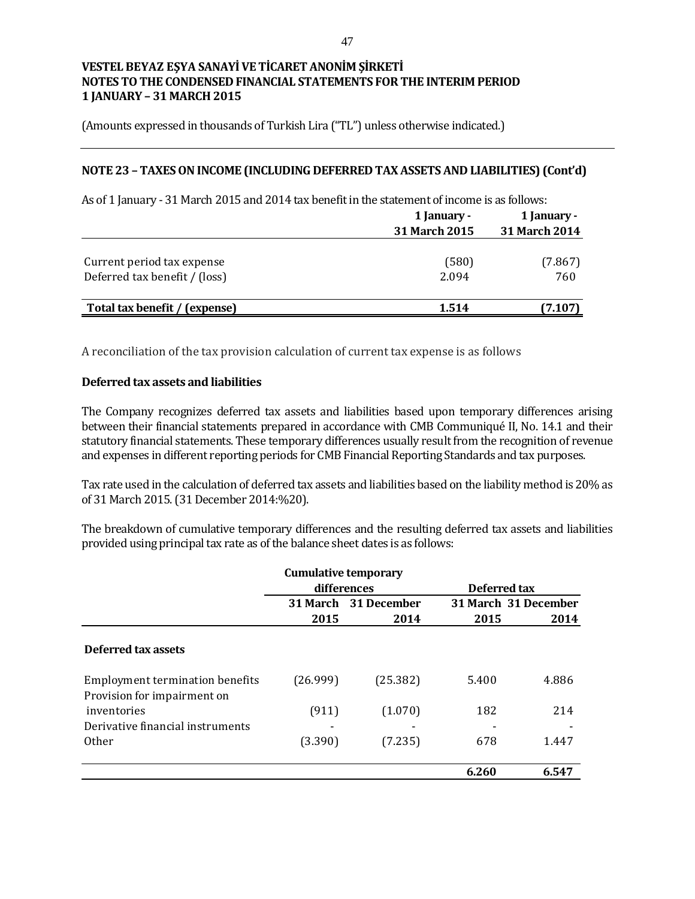(Amounts expressed in thousands of Turkish Lira ("TL") unless otherwise indicated.)

#### **NOTE 23 – TAXES ON INCOME (INCLUDING DEFERRED TAX ASSETS AND LIABILITIES) (Cont'd)**

As of 1 January - 31 March 2015 and 2014 tax benefit in the statement of income is as follows:

|                               | 1 January -   | 1 January -   |
|-------------------------------|---------------|---------------|
|                               | 31 March 2015 | 31 March 2014 |
| Current period tax expense    | (580)         | (7.867)       |
| Deferred tax benefit / (loss) | 2.094         | 760           |
| Total tax benefit / (expense) | 1.514         | (7.107)       |

A reconciliation of the tax provision calculation of current tax expense is as follows

#### **Deferred tax assets and liabilities**

The Company recognizes deferred tax assets and liabilities based upon temporary differences arising between their financial statements prepared in accordance with CMB Communiqué II, No. 14.1 and their statutory financial statements. These temporary differences usually result from the recognition of revenue and expenses in different reporting periods for CMB Financial Reporting Standards and tax purposes.

Tax rate used in the calculation of deferred tax assets and liabilities based on the liability method is 20% as of 31 March 2015. (31 December 2014:%20).

The breakdown of cumulative temporary differences and the resulting deferred tax assets and liabilities provided using principal tax rate as of the balance sheet dates is as follows:

| <b>Cumulative temporary</b>                                           |                      |             |              |                      |  |  |
|-----------------------------------------------------------------------|----------------------|-------------|--------------|----------------------|--|--|
|                                                                       |                      | differences | Deferred tax |                      |  |  |
|                                                                       | 31 March 31 December |             |              | 31 March 31 December |  |  |
|                                                                       | 2015                 | 2014        | 2015         | 2014                 |  |  |
| Deferred tax assets                                                   |                      |             |              |                      |  |  |
| <b>Employment termination benefits</b><br>Provision for impairment on | (26.999)             | (25.382)    | 5.400        | 4.886                |  |  |
| inventories                                                           | (911)                | (1.070)     | 182          | 214                  |  |  |
| Derivative financial instruments                                      |                      |             |              |                      |  |  |
| 0ther                                                                 | (3.390)              | (7.235)     | 678          | 1.447                |  |  |
|                                                                       |                      |             | 6.260        | 6.547                |  |  |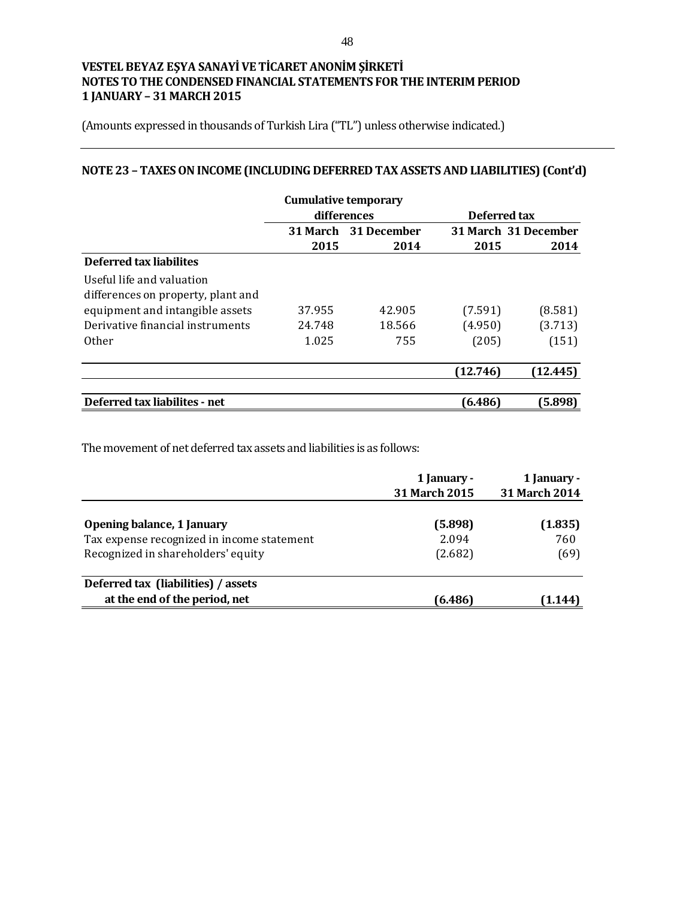(Amounts expressed in thousands of Turkish Lira ("TL") unless otherwise indicated.)

# **NOTE 23 – TAXES ON INCOME (INCLUDING DEFERRED TAX ASSETS AND LIABILITIES) (Cont'd)**

| <b>Cumulative temporary</b>        |                                |        |              |                      |  |
|------------------------------------|--------------------------------|--------|--------------|----------------------|--|
|                                    | differences                    |        | Deferred tax |                      |  |
|                                    | 31 December<br><b>31 March</b> |        |              | 31 March 31 December |  |
|                                    | 2015                           | 2014   | 2015         | 2014                 |  |
| Deferred tax liabilites            |                                |        |              |                      |  |
| Useful life and valuation          |                                |        |              |                      |  |
| differences on property, plant and |                                |        |              |                      |  |
| equipment and intangible assets    | 37.955                         | 42.905 | (7.591)      | (8.581)              |  |
| Derivative financial instruments   | 24.748                         | 18.566 | (4.950)      | (3.713)              |  |
| 0ther                              | 1.025                          | 755    | (205)        | (151)                |  |
|                                    |                                |        | (12.746)     | (12.445)             |  |
| Deferred tax liabilites - net      |                                |        | (6.486)      | 5.8981               |  |

The movement of net deferred tax assets and liabilities is as follows:

|                                            | 1 January -<br>31 March 2015 | 1 January -<br>31 March 2014 |
|--------------------------------------------|------------------------------|------------------------------|
| Opening balance, 1 January                 | (5.898)                      | (1.835)                      |
| Tax expense recognized in income statement | 2.094                        | 760                          |
| Recognized in shareholders' equity         | (2.682)                      | (69)                         |
| Deferred tax (liabilities) / assets        |                              |                              |
| at the end of the period, net              | (6.486)                      | (1.144)                      |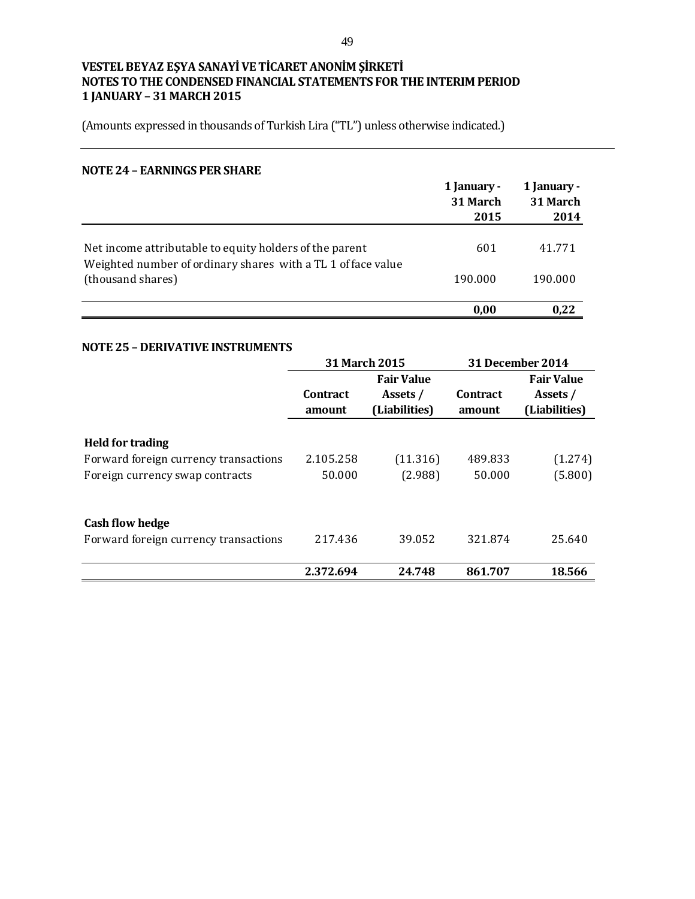(Amounts expressed in thousands of Turkish Lira ("TL") unless otherwise indicated.)

#### **NOTE 24 – EARNINGS PER SHARE**

|                                                                                                                         | 1 January -<br>31 March | 1 January -<br>31 March |
|-------------------------------------------------------------------------------------------------------------------------|-------------------------|-------------------------|
|                                                                                                                         | 2015                    | 2014                    |
| Net income attributable to equity holders of the parent<br>Weighted number of ordinary shares with a TL 1 of face value | 601                     | 41.771                  |
| (thousand shares)                                                                                                       | 190.000                 | 190.000                 |
|                                                                                                                         | 0,00                    | 0.22                    |

### **NOTE 25 – DERIVATIVE INSTRUMENTS**

|                                       | <b>31 March 2015</b> |                   | <b>31 December 2014</b> |                   |
|---------------------------------------|----------------------|-------------------|-------------------------|-------------------|
|                                       |                      | <b>Fair Value</b> |                         | <b>Fair Value</b> |
|                                       | <b>Contract</b>      | Assets /          | <b>Contract</b>         | Assets /          |
|                                       | amount               | (Liabilities)     | amount                  | (Liabilities)     |
| <b>Held for trading</b>               |                      |                   |                         |                   |
| Forward foreign currency transactions | 2.105.258            | (11.316)          | 489.833                 | (1.274)           |
| Foreign currency swap contracts       | 50.000               | (2.988)           | 50.000                  | (5.800)           |
| <b>Cash flow hedge</b>                |                      |                   |                         |                   |
| Forward foreign currency transactions | 217.436              | 39.052            | 321.874                 | 25.640            |
|                                       | 2.372.694            | 24.748            | 861.707                 | 18.566            |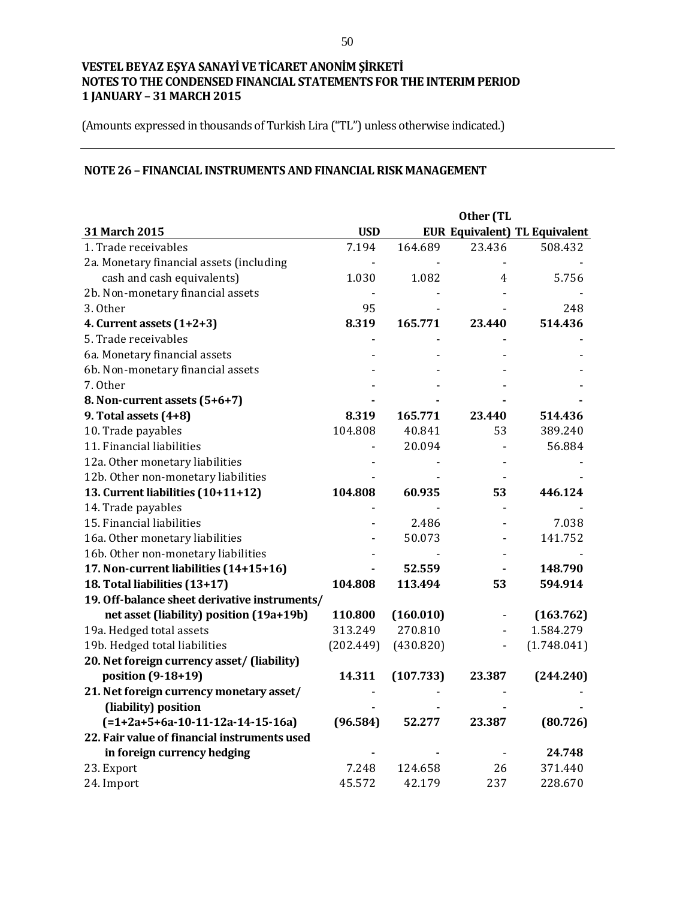(Amounts expressed in thousands of Turkish Lira ("TL") unless otherwise indicated.)

### **NOTE 26 – FINANCIAL INSTRUMENTS AND FINANCIAL RISK MANAGEMENT**

|                                               |            |           | Other (TL |                                      |
|-----------------------------------------------|------------|-----------|-----------|--------------------------------------|
| 31 March 2015                                 | <b>USD</b> |           |           | <b>EUR Equivalent) TL Equivalent</b> |
| 1. Trade receivables                          | 7.194      | 164.689   | 23.436    | 508.432                              |
| 2a. Monetary financial assets (including      |            |           |           |                                      |
| cash and cash equivalents)                    | 1.030      | 1.082     | 4         | 5.756                                |
| 2b. Non-monetary financial assets             |            |           |           |                                      |
| 3. Other                                      | 95         |           |           | 248                                  |
| 4. Current assets $(1+2+3)$                   | 8.319      | 165.771   | 23.440    | 514.436                              |
| 5. Trade receivables                          |            |           |           |                                      |
| 6a. Monetary financial assets                 |            |           |           |                                      |
| 6b. Non-monetary financial assets             |            |           |           |                                      |
| 7. Other                                      |            |           |           |                                      |
| 8. Non-current assets (5+6+7)                 |            |           |           |                                      |
| 9. Total assets $(4+8)$                       | 8.319      | 165.771   | 23.440    | 514.436                              |
| 10. Trade payables                            | 104.808    | 40.841    | 53        | 389.240                              |
| 11. Financial liabilities                     |            | 20.094    |           | 56.884                               |
| 12a. Other monetary liabilities               |            |           |           |                                      |
| 12b. Other non-monetary liabilities           |            |           |           |                                      |
| 13. Current liabilities (10+11+12)            | 104.808    | 60.935    | 53        | 446.124                              |
| 14. Trade payables                            |            |           |           |                                      |
| 15. Financial liabilities                     |            | 2.486     |           | 7.038                                |
| 16a. Other monetary liabilities               |            | 50.073    |           | 141.752                              |
| 16b. Other non-monetary liabilities           |            |           |           |                                      |
| 17. Non-current liabilities (14+15+16)        |            | 52.559    |           | 148.790                              |
| 18. Total liabilities (13+17)                 | 104.808    | 113.494   | 53        | 594.914                              |
| 19. Off-balance sheet derivative instruments/ |            |           |           |                                      |
| net asset (liability) position (19a+19b)      | 110.800    | (160.010) | -         | (163.762)                            |
| 19a. Hedged total assets                      | 313.249    | 270.810   |           | 1.584.279                            |
| 19b. Hedged total liabilities                 | (202.449)  | (430.820) |           | (1.748.041)                          |
| 20. Net foreign currency asset/ (liability)   |            |           |           |                                      |
| position (9-18+19)                            | 14.311     | (107.733) | 23.387    | (244.240)                            |
| 21. Net foreign currency monetary asset/      |            |           |           |                                      |
| (liability) position                          |            |           |           |                                      |
| $(=1+2a+5+6a-10-11-12a-14-15-16a)$            | (96.584)   | 52.277    | 23.387    | (80.726)                             |
| 22. Fair value of financial instruments used  |            |           |           |                                      |
| in foreign currency hedging                   |            |           |           | 24.748                               |
| 23. Export                                    | 7.248      | 124.658   | 26        | 371.440                              |
| 24. Import                                    | 45.572     | 42.179    | 237       | 228.670                              |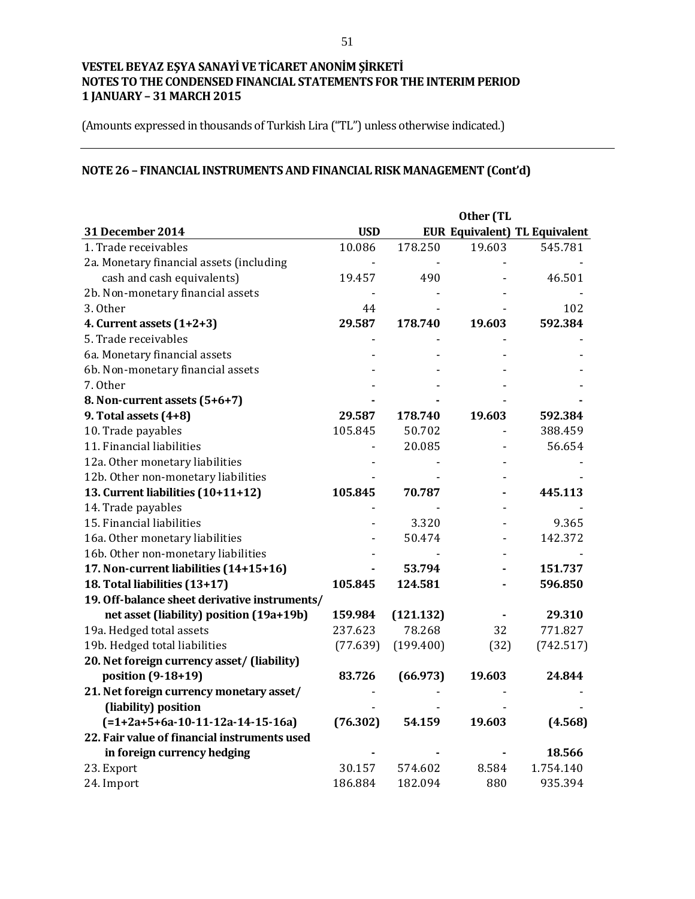(Amounts expressed in thousands of Turkish Lira ("TL") unless otherwise indicated.)

# **NOTE 26 – FINANCIAL INSTRUMENTS AND FINANCIAL RISK MANAGEMENT (Cont'd)**

|                                               |            |           | Other (TL |                                      |
|-----------------------------------------------|------------|-----------|-----------|--------------------------------------|
| 31 December 2014                              | <b>USD</b> |           |           | <b>EUR Equivalent) TL Equivalent</b> |
| 1. Trade receivables                          | 10.086     | 178.250   | 19.603    | 545.781                              |
| 2a. Monetary financial assets (including      |            |           |           |                                      |
| cash and cash equivalents)                    | 19.457     | 490       |           | 46.501                               |
| 2b. Non-monetary financial assets             |            |           |           |                                      |
| 3. Other                                      | 44         |           |           | 102                                  |
| 4. Current assets $(1+2+3)$                   | 29.587     | 178.740   | 19.603    | 592.384                              |
| 5. Trade receivables                          |            |           |           |                                      |
| 6a. Monetary financial assets                 |            |           |           |                                      |
| 6b. Non-monetary financial assets             |            |           |           |                                      |
| 7. Other                                      |            |           |           |                                      |
| 8. Non-current assets (5+6+7)                 |            |           |           |                                      |
| 9. Total assets $(4+8)$                       | 29.587     | 178.740   | 19.603    | 592.384                              |
| 10. Trade payables                            | 105.845    | 50.702    |           | 388.459                              |
| 11. Financial liabilities                     |            | 20.085    |           | 56.654                               |
| 12a. Other monetary liabilities               |            |           |           |                                      |
| 12b. Other non-monetary liabilities           |            |           |           |                                      |
| 13. Current liabilities (10+11+12)            | 105.845    | 70.787    |           | 445.113                              |
| 14. Trade payables                            |            |           |           |                                      |
| 15. Financial liabilities                     |            | 3.320     |           | 9.365                                |
| 16a. Other monetary liabilities               |            | 50.474    |           | 142.372                              |
| 16b. Other non-monetary liabilities           |            |           |           |                                      |
| 17. Non-current liabilities (14+15+16)        |            | 53.794    |           | 151.737                              |
| 18. Total liabilities (13+17)                 | 105.845    | 124.581   |           | 596.850                              |
| 19. Off-balance sheet derivative instruments/ |            |           |           |                                      |
| net asset (liability) position (19a+19b)      | 159.984    | (121.132) |           | 29.310                               |
| 19a. Hedged total assets                      | 237.623    | 78.268    | 32        | 771.827                              |
| 19b. Hedged total liabilities                 | (77.639)   | (199.400) | (32)      | (742.517)                            |
| 20. Net foreign currency asset/ (liability)   |            |           |           |                                      |
| position (9-18+19)                            | 83.726     | (66.973)  | 19.603    | 24.844                               |
| 21. Net foreign currency monetary asset/      |            |           |           |                                      |
| (liability) position                          |            |           |           |                                      |
| $(=1+2a+5+6a-10-11-12a-14-15-16a)$            | (76.302)   | 54.159    | 19.603    | (4.568)                              |
| 22. Fair value of financial instruments used  |            |           |           |                                      |
| in foreign currency hedging                   |            |           |           | 18.566                               |
| 23. Export                                    | 30.157     | 574.602   | 8.584     | 1.754.140                            |
| 24. Import                                    | 186.884    | 182.094   | 880       | 935.394                              |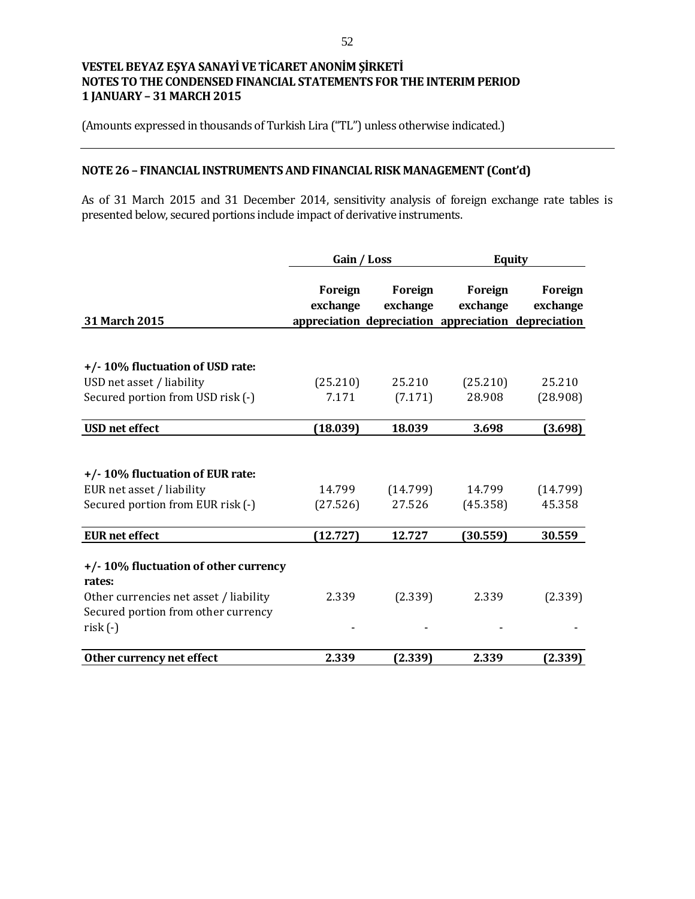(Amounts expressed in thousands of Turkish Lira ("TL") unless otherwise indicated.)

# **NOTE 26 – FINANCIAL INSTRUMENTS AND FINANCIAL RISK MANAGEMENT (Cont'd)**

As of 31 March 2015 and 31 December 2014, sensitivity analysis of foreign exchange rate tables is presented below, secured portions include impact of derivative instruments.

|                                                                                                                                              | Gain / Loss         |                     | <b>Equity</b>                                                              |                     |  |
|----------------------------------------------------------------------------------------------------------------------------------------------|---------------------|---------------------|----------------------------------------------------------------------------|---------------------|--|
| 31 March 2015                                                                                                                                | Foreign<br>exchange | Foreign<br>exchange | Foreign<br>exchange<br>appreciation depreciation appreciation depreciation | Foreign<br>exchange |  |
|                                                                                                                                              |                     |                     |                                                                            |                     |  |
| +/-10% fluctuation of USD rate:                                                                                                              |                     |                     |                                                                            |                     |  |
| USD net asset / liability                                                                                                                    | (25.210)            | 25.210              | (25.210)                                                                   | 25.210              |  |
| Secured portion from USD risk (-)                                                                                                            | 7.171               | (7.171)             | 28.908                                                                     | (28.908)            |  |
| <b>USD</b> net effect                                                                                                                        | (18.039)            | 18.039              | 3.698                                                                      | (3.698)             |  |
| +/-10% fluctuation of EUR rate:<br>EUR net asset / liability<br>Secured portion from EUR risk (-)                                            | 14.799<br>(27.526)  | (14.799)<br>27.526  | 14.799<br>(45.358)                                                         | (14.799)<br>45.358  |  |
| <b>EUR</b> net effect                                                                                                                        | (12.727)            | 12.727              | (30.559)                                                                   | 30.559              |  |
| +/-10% fluctuation of other currency<br>rates:<br>Other currencies net asset / liability<br>Secured portion from other currency<br>$risk(-)$ | 2.339               | (2.339)             | 2.339                                                                      | (2.339)             |  |
| Other currency net effect                                                                                                                    | 2.339               | (2.339)             | 2.339                                                                      | (2.339)             |  |